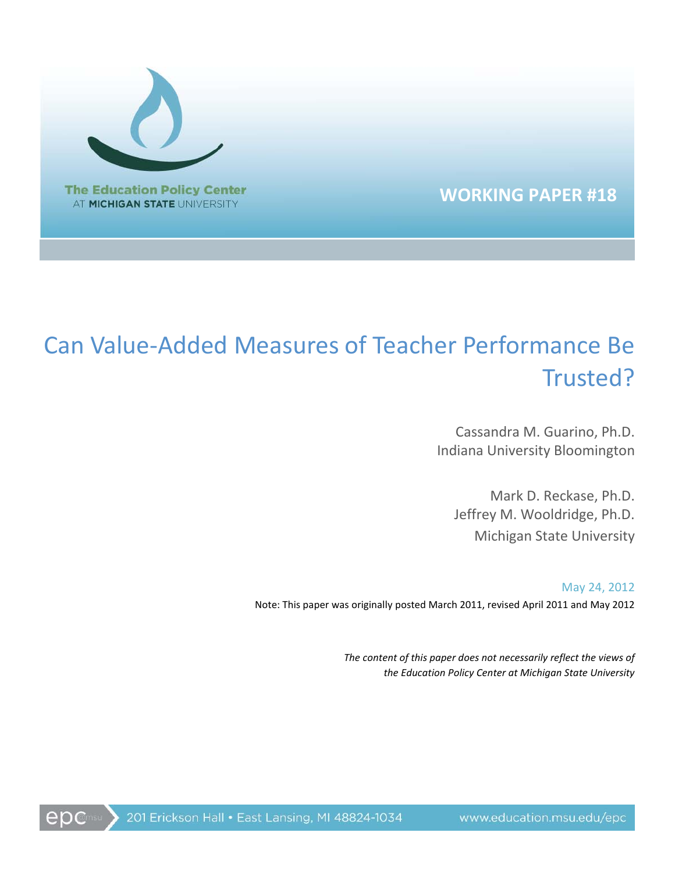

# **WORKING PAPER #18**

# Can Value-Added Measures of Teacher Performance Be Trusted?

Cassandra M. Guarino, Ph.D. Indiana University Bloomington

Mark D. Reckase, Ph.D. Jeffrey M. Wooldridge, Ph.D. Michigan State University

May 24, 2012 Note: This paper was originally posted March 2011, revised April 2011 and May 2012

> *The content of this paper does not necessarily reflect the views of the Education Policy Center at Michigan State University*

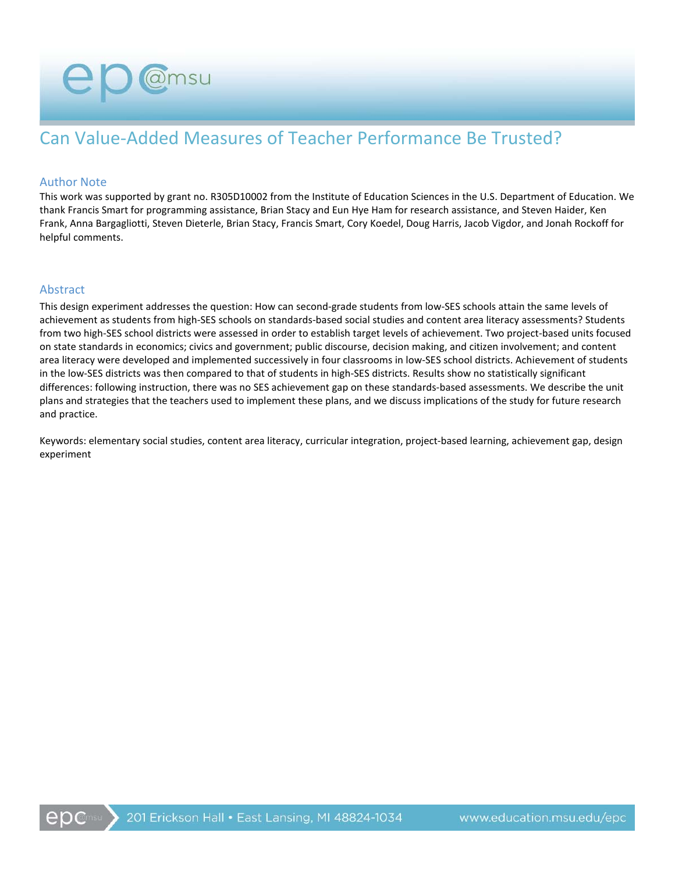**ep** @msu

# Can Value-Added Measures of Teacher Performance Be Trusted?

#### Author Note

This work was supported by grant no. R305D10002 from the Institute of Education Sciences in the U.S. Department of Education. We thank Francis Smart for programming assistance, Brian Stacy and Eun Hye Ham for research assistance, and Steven Haider, Ken Frank, Anna Bargagliotti, Steven Dieterle, Brian Stacy, Francis Smart, Cory Koedel, Doug Harris, Jacob Vigdor, and Jonah Rockoff for helpful comments.

#### Abstract

This design experiment addresses the question: How can second-grade students from low-SES schools attain the same levels of achievement as students from high-SES schools on standards-based social studies and content area literacy assessments? Students from two high-SES school districts were assessed in order to establish target levels of achievement. Two project-based units focused on state standards in economics; civics and government; public discourse, decision making, and citizen involvement; and content area literacy were developed and implemented successively in four classrooms in low-SES school districts. Achievement of students in the low-SES districts was then compared to that of students in high-SES districts. Results show no statistically significant differences: following instruction, there was no SES achievement gap on these standards-based assessments. We describe the unit plans and strategies that the teachers used to implement these plans, and we discuss implications of the study for future research and practice.

Keywords: elementary social studies, content area literacy, curricular integration, project-based learning, achievement gap, design experiment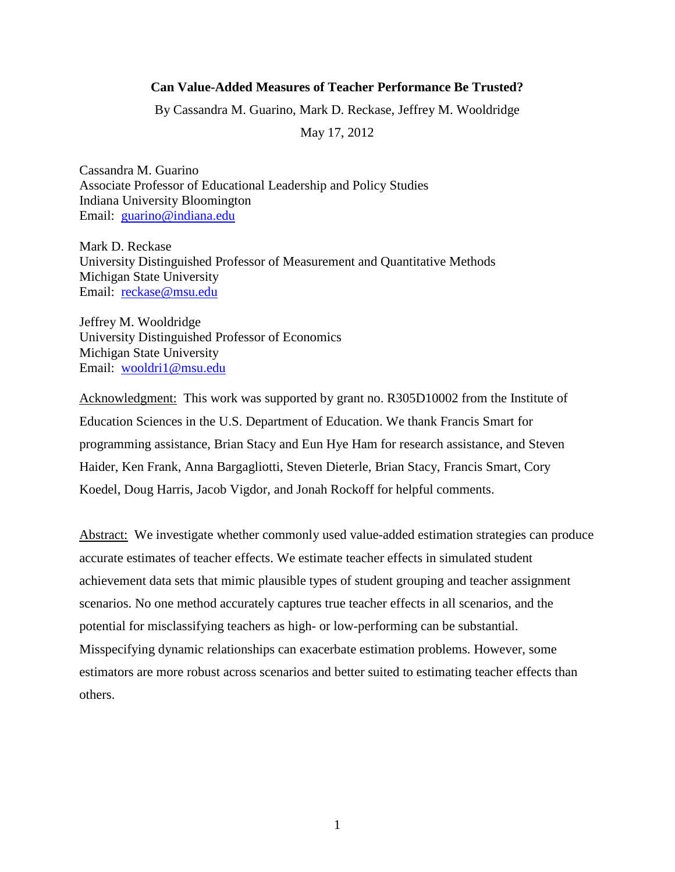#### **Can Value-Added Measures of Teacher Performance Be Trusted?**

By Cassandra M. Guarino, Mark D. Reckase, Jeffrey M. Wooldridge

May 17, 2012

Cassandra M. Guarino Associate Professor of Educational Leadership and Policy Studies Indiana University Bloomington Email: [guarino@indiana.edu](mailto:guarino@indiana.edu) 

Mark D. Reckase University Distinguished Professor of Measurement and Quantitative Methods Michigan State University Email: [reckase@msu.edu](mailto:reckase@msu.edu) 

Jeffrey M. Wooldridge University Distinguished Professor of Economics Michigan State University Email: [wooldri1@msu.edu](mailto:wooldri1@msu.edu) 

Acknowledgment: This work was supported by grant no. R305D10002 from the Institute of Education Sciences in the U.S. Department of Education. We thank Francis Smart for programming assistance, Brian Stacy and Eun Hye Ham for research assistance, and Steven Haider, Ken Frank, Anna Bargagliotti, Steven Dieterle, Brian Stacy, Francis Smart, Cory Koedel, Doug Harris, Jacob Vigdor, and Jonah Rockoff for helpful comments.

Abstract:We investigate whether commonly used value-added estimation strategies can produce accurate estimates of teacher effects. We estimate teacher effects in simulated student achievement data sets that mimic plausible types of student grouping and teacher assignment scenarios. No one method accurately captures true teacher effects in all scenarios, and the potential for misclassifying teachers as high- or low-performing can be substantial. Misspecifying dynamic relationships can exacerbate estimation problems. However, some estimators are more robust across scenarios and better suited to estimating teacher effects than others.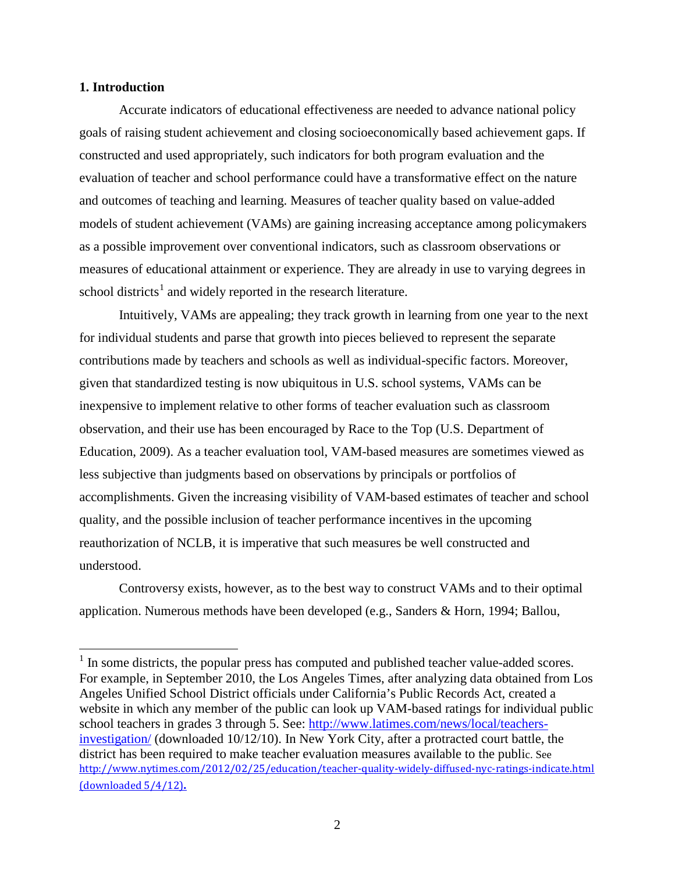#### **1. Introduction**

Accurate indicators of educational effectiveness are needed to advance national policy goals of raising student achievement and closing socioeconomically based achievement gaps. If constructed and used appropriately, such indicators for both program evaluation and the evaluation of teacher and school performance could have a transformative effect on the nature and outcomes of teaching and learning. Measures of teacher quality based on value-added models of student achievement (VAMs) are gaining increasing acceptance among policymakers as a possible improvement over conventional indicators, such as classroom observations or measures of educational attainment or experience. They are already in use to varying degrees in school districts<sup>[1](#page-3-0)</sup> and widely reported in the research literature.

Intuitively, VAMs are appealing; they track growth in learning from one year to the next for individual students and parse that growth into pieces believed to represent the separate contributions made by teachers and schools as well as individual-specific factors. Moreover, given that standardized testing is now ubiquitous in U.S. school systems, VAMs can be inexpensive to implement relative to other forms of teacher evaluation such as classroom observation, and their use has been encouraged by Race to the Top (U.S. Department of Education, 2009). As a teacher evaluation tool, VAM-based measures are sometimes viewed as less subjective than judgments based on observations by principals or portfolios of accomplishments. Given the increasing visibility of VAM-based estimates of teacher and school quality, and the possible inclusion of teacher performance incentives in the upcoming reauthorization of NCLB, it is imperative that such measures be well constructed and understood.

Controversy exists, however, as to the best way to construct VAMs and to their optimal application. Numerous methods have been developed (e.g., Sanders & Horn, 1994; Ballou,

<span id="page-3-0"></span> $<sup>1</sup>$  In some districts, the popular press has computed and published teacher value-added scores.</sup> For example, in September 2010, the Los Angeles Times, after analyzing data obtained from Los Angeles Unified School District officials under California's Public Records Act, created a website in which any member of the public can look up VAM-based ratings for individual public school teachers in grades 3 through 5. See: [http://www.latimes.com/news/local/teachers](http://www.latimes.com/news/local/teachers-investigation/)[investigation/](http://www.latimes.com/news/local/teachers-investigation/) (downloaded 10/12/10). In New York City, after a protracted court battle, the district has been required to make teacher evaluation measures available to the public. See <http://www.nytimes.com/2012/02/25/education/teacher-quality-widely-diffused-nyc-ratings-indicate.html> (downloaded 5/4/12).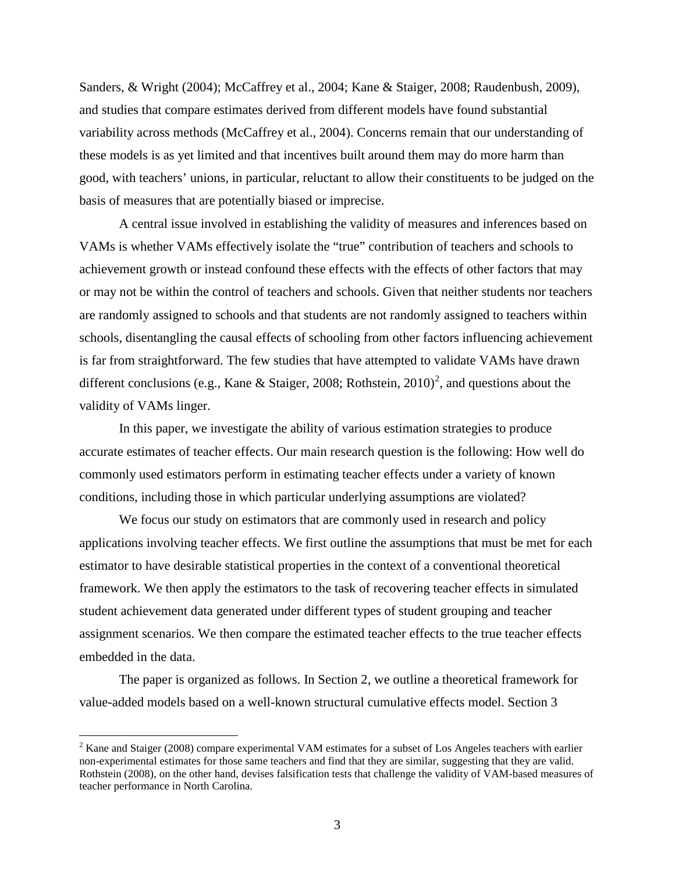Sanders, & Wright (2004); McCaffrey et al., 2004; Kane & Staiger, 2008; Raudenbush, 2009), and studies that compare estimates derived from different models have found substantial variability across methods (McCaffrey et al., 2004). Concerns remain that our understanding of these models is as yet limited and that incentives built around them may do more harm than good, with teachers' unions, in particular, reluctant to allow their constituents to be judged on the basis of measures that are potentially biased or imprecise.

A central issue involved in establishing the validity of measures and inferences based on VAMs is whether VAMs effectively isolate the "true" contribution of teachers and schools to achievement growth or instead confound these effects with the effects of other factors that may or may not be within the control of teachers and schools. Given that neither students nor teachers are randomly assigned to schools and that students are not randomly assigned to teachers within schools, disentangling the causal effects of schooling from other factors influencing achievement is far from straightforward. The few studies that have attempted to validate VAMs have drawn different conclusions (e.g., Kane & Staiger, [2](#page-4-0)008; Rothstein, 2010)<sup>2</sup>, and questions about the validity of VAMs linger.

In this paper, we investigate the ability of various estimation strategies to produce accurate estimates of teacher effects. Our main research question is the following: How well do commonly used estimators perform in estimating teacher effects under a variety of known conditions, including those in which particular underlying assumptions are violated?

We focus our study on estimators that are commonly used in research and policy applications involving teacher effects. We first outline the assumptions that must be met for each estimator to have desirable statistical properties in the context of a conventional theoretical framework. We then apply the estimators to the task of recovering teacher effects in simulated student achievement data generated under different types of student grouping and teacher assignment scenarios. We then compare the estimated teacher effects to the true teacher effects embedded in the data.

The paper is organized as follows. In Section 2, we outline a theoretical framework for value-added models based on a well-known structural cumulative effects model. Section 3

<span id="page-4-0"></span><sup>&</sup>lt;sup>2</sup> Kane and Staiger (2008) compare experimental VAM estimates for a subset of Los Angeles teachers with earlier non-experimental estimates for those same teachers and find that they are similar, suggesting that they are valid. Rothstein (2008), on the other hand, devises falsification tests that challenge the validity of VAM-based measures of teacher performance in North Carolina.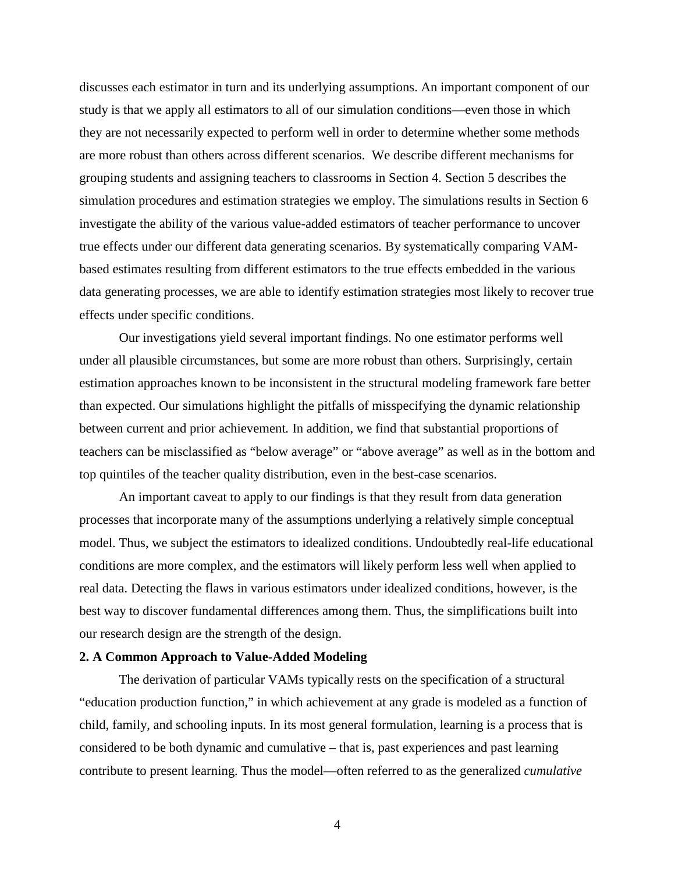discusses each estimator in turn and its underlying assumptions. An important component of our study is that we apply all estimators to all of our simulation conditions—even those in which they are not necessarily expected to perform well in order to determine whether some methods are more robust than others across different scenarios. We describe different mechanisms for grouping students and assigning teachers to classrooms in Section 4. Section 5 describes the simulation procedures and estimation strategies we employ. The simulations results in Section 6 investigate the ability of the various value-added estimators of teacher performance to uncover true effects under our different data generating scenarios. By systematically comparing VAMbased estimates resulting from different estimators to the true effects embedded in the various data generating processes, we are able to identify estimation strategies most likely to recover true effects under specific conditions.

Our investigations yield several important findings. No one estimator performs well under all plausible circumstances, but some are more robust than others. Surprisingly, certain estimation approaches known to be inconsistent in the structural modeling framework fare better than expected. Our simulations highlight the pitfalls of misspecifying the dynamic relationship between current and prior achievement*.* In addition, we find that substantial proportions of teachers can be misclassified as "below average" or "above average" as well as in the bottom and top quintiles of the teacher quality distribution, even in the best-case scenarios.

An important caveat to apply to our findings is that they result from data generation processes that incorporate many of the assumptions underlying a relatively simple conceptual model. Thus, we subject the estimators to idealized conditions. Undoubtedly real-life educational conditions are more complex, and the estimators will likely perform less well when applied to real data. Detecting the flaws in various estimators under idealized conditions, however, is the best way to discover fundamental differences among them. Thus, the simplifications built into our research design are the strength of the design.

#### **2. A Common Approach to Value-Added Modeling**

The derivation of particular VAMs typically rests on the specification of a structural "education production function," in which achievement at any grade is modeled as a function of child, family, and schooling inputs. In its most general formulation, learning is a process that is considered to be both dynamic and cumulative – that is, past experiences and past learning contribute to present learning. Thus the model—often referred to as the generalized *cumulative*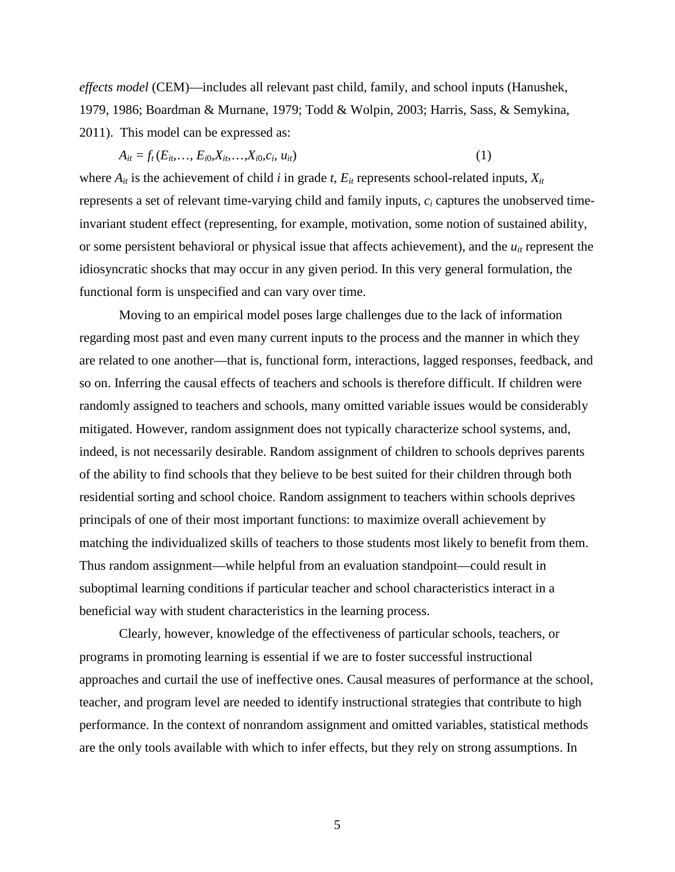*effects model* (CEM)—includes all relevant past child, family, and school inputs (Hanushek, 1979, 1986; Boardman & Murnane, 1979; Todd & Wolpin, 2003; Harris, Sass, & Semykina, 2011). This model can be expressed as:

$$
A_{it} = f_t(E_{it},...,E_{i0},X_{it},...,X_{i0},c_i,u_{it})
$$
\n(1)

where  $A_{it}$  is the achievement of child *i* in grade *t*,  $E_{it}$  represents school-related inputs,  $X_{it}$ represents a set of relevant time-varying child and family inputs, *ci* captures the unobserved timeinvariant student effect (representing, for example, motivation, some notion of sustained ability, or some persistent behavioral or physical issue that affects achievement), and the  $u_{it}$  represent the idiosyncratic shocks that may occur in any given period. In this very general formulation, the functional form is unspecified and can vary over time.

Moving to an empirical model poses large challenges due to the lack of information regarding most past and even many current inputs to the process and the manner in which they are related to one another—that is, functional form, interactions, lagged responses, feedback, and so on. Inferring the causal effects of teachers and schools is therefore difficult. If children were randomly assigned to teachers and schools, many omitted variable issues would be considerably mitigated. However, random assignment does not typically characterize school systems, and, indeed, is not necessarily desirable. Random assignment of children to schools deprives parents of the ability to find schools that they believe to be best suited for their children through both residential sorting and school choice. Random assignment to teachers within schools deprives principals of one of their most important functions: to maximize overall achievement by matching the individualized skills of teachers to those students most likely to benefit from them. Thus random assignment—while helpful from an evaluation standpoint—could result in suboptimal learning conditions if particular teacher and school characteristics interact in a beneficial way with student characteristics in the learning process.

Clearly, however, knowledge of the effectiveness of particular schools, teachers, or programs in promoting learning is essential if we are to foster successful instructional approaches and curtail the use of ineffective ones. Causal measures of performance at the school, teacher, and program level are needed to identify instructional strategies that contribute to high performance. In the context of nonrandom assignment and omitted variables, statistical methods are the only tools available with which to infer effects, but they rely on strong assumptions. In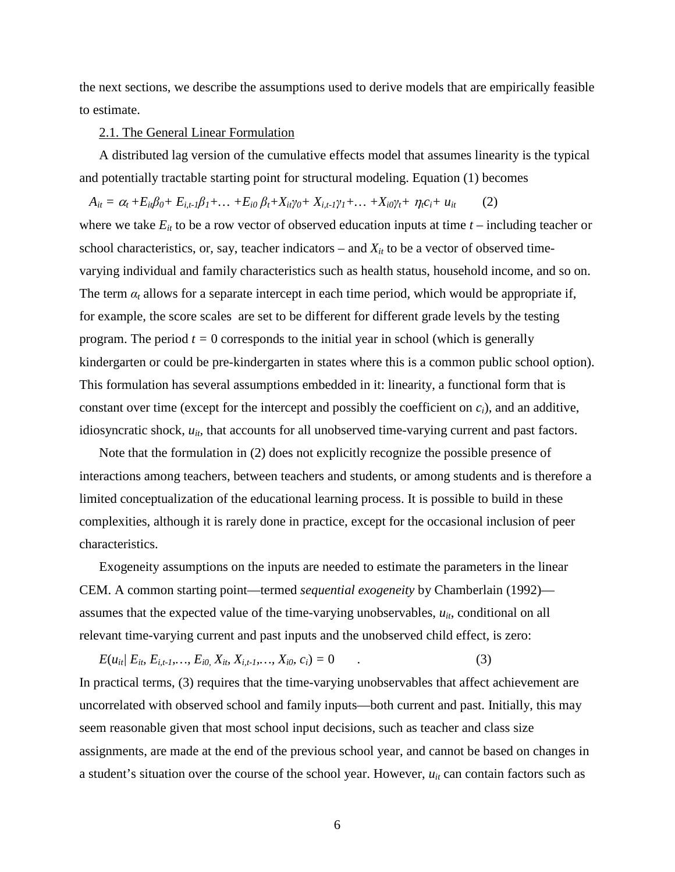the next sections, we describe the assumptions used to derive models that are empirically feasible to estimate.

#### 2.1. The General Linear Formulation

A distributed lag version of the cumulative effects model that assumes linearity is the typical and potentially tractable starting point for structural modeling. Equation (1) becomes

 $A_{it} = \alpha_t + E_{it} \beta_0 + E_{i,t-1} \beta_1 + ... + E_{i0} \beta_t + X_{it} \gamma_0 + X_{i,t-1} \gamma_1 + ... + X_{i0} \gamma_t + \eta_t c_i + u_{it}$  (2)

where we take  $E_{it}$  to be a row vector of observed education inputs at time  $t$  – including teacher or school characteristics, or, say, teacher indicators – and  $X_{it}$  to be a vector of observed timevarying individual and family characteristics such as health status, household income, and so on. The term  $\alpha_t$  allows for a separate intercept in each time period, which would be appropriate if, for example, the score scales are set to be different for different grade levels by the testing program. The period  $t = 0$  corresponds to the initial year in school (which is generally kindergarten or could be pre-kindergarten in states where this is a common public school option). This formulation has several assumptions embedded in it: linearity, a functional form that is constant over time (except for the intercept and possibly the coefficient on *ci*), and an additive, idiosyncratic shock,  $u_{it}$ , that accounts for all unobserved time-varying current and past factors.

Note that the formulation in (2) does not explicitly recognize the possible presence of interactions among teachers, between teachers and students, or among students and is therefore a limited conceptualization of the educational learning process. It is possible to build in these complexities, although it is rarely done in practice, except for the occasional inclusion of peer characteristics.

Exogeneity assumptions on the inputs are needed to estimate the parameters in the linear CEM. A common starting point—termed *sequential exogeneity* by Chamberlain (1992) assumes that the expected value of the time-varying unobservables,  $u_{it}$ , conditional on all relevant time-varying current and past inputs and the unobserved child effect, is zero:

 $E(u_{ii} | E_{it}, E_{i,t-1}, \ldots, E_{i0}, X_{it}, X_{i,t-1}, \ldots, X_{i0}, c_i) = 0$  (3) In practical terms, (3) requires that the time-varying unobservables that affect achievement are uncorrelated with observed school and family inputs—both current and past. Initially, this may seem reasonable given that most school input decisions, such as teacher and class size assignments, are made at the end of the previous school year, and cannot be based on changes in a student's situation over the course of the school year. However,  $u_{it}$  can contain factors such as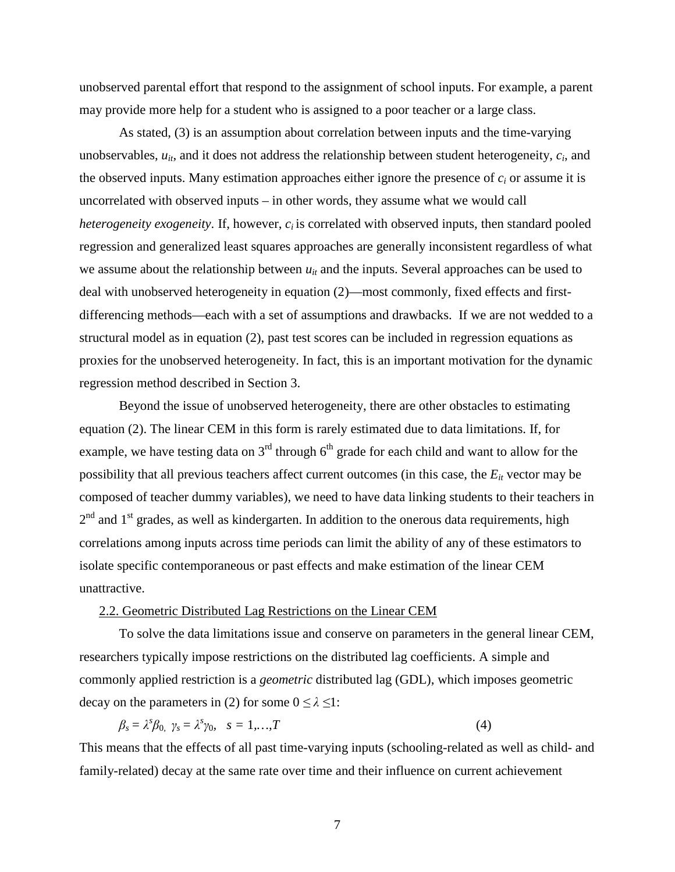unobserved parental effort that respond to the assignment of school inputs. For example, a parent may provide more help for a student who is assigned to a poor teacher or a large class.

As stated, (3) is an assumption about correlation between inputs and the time-varying unobservables,  $u_{it}$ , and it does not address the relationship between student heterogeneity,  $c_i$ , and the observed inputs. Many estimation approaches either ignore the presence of *ci* or assume it is uncorrelated with observed inputs – in other words, they assume what we would call *heterogeneity exogeneity*. If, however,  $c_i$  is correlated with observed inputs, then standard pooled regression and generalized least squares approaches are generally inconsistent regardless of what we assume about the relationship between  $u_{it}$  and the inputs. Several approaches can be used to deal with unobserved heterogeneity in equation (2)—most commonly, fixed effects and firstdifferencing methods—each with a set of assumptions and drawbacks. If we are not wedded to a structural model as in equation (2), past test scores can be included in regression equations as proxies for the unobserved heterogeneity. In fact, this is an important motivation for the dynamic regression method described in Section 3.

Beyond the issue of unobserved heterogeneity, there are other obstacles to estimating equation (2). The linear CEM in this form is rarely estimated due to data limitations. If, for example, we have testing data on  $3<sup>rd</sup>$  through  $6<sup>th</sup>$  grade for each child and want to allow for the possibility that all previous teachers affect current outcomes (in this case, the *Eit* vector may be composed of teacher dummy variables), we need to have data linking students to their teachers in  $2<sup>nd</sup>$  and  $1<sup>st</sup>$  grades, as well as kindergarten. In addition to the onerous data requirements, high correlations among inputs across time periods can limit the ability of any of these estimators to isolate specific contemporaneous or past effects and make estimation of the linear CEM unattractive.

#### 2.2. Geometric Distributed Lag Restrictions on the Linear CEM

To solve the data limitations issue and conserve on parameters in the general linear CEM, researchers typically impose restrictions on the distributed lag coefficients. A simple and commonly applied restriction is a *geometric* distributed lag (GDL), which imposes geometric decay on the parameters in (2) for some  $0 \le \lambda \le 1$ :

$$
\beta_s = \lambda^s \beta_0, \ \gamma_s = \lambda^s \gamma_0, \quad s = 1, \dots, T \tag{4}
$$

This means that the effects of all past time-varying inputs (schooling-related as well as child- and family-related) decay at the same rate over time and their influence on current achievement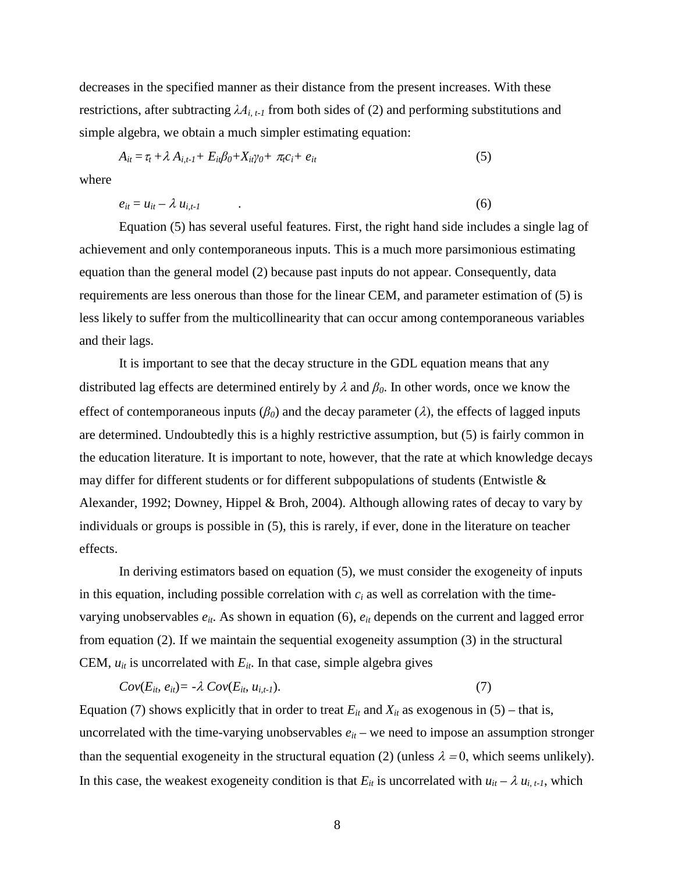decreases in the specified manner as their distance from the present increases. With these restrictions, after subtracting  $\lambda A_{i,t-1}$  from both sides of (2) and performing substitutions and simple algebra, we obtain a much simpler estimating equation:

$$
A_{it} = \tau_t + \lambda A_{i,t-1} + E_{it}\beta_0 + X_{it}\gamma_0 + \pi_c + e_{it}
$$
\n
$$
\tag{5}
$$

where

$$
e_{it} = u_{it} - \lambda u_{i,t-1} \tag{6}
$$

Equation (5) has several useful features. First, the right hand side includes a single lag of achievement and only contemporaneous inputs. This is a much more parsimonious estimating equation than the general model (2) because past inputs do not appear. Consequently, data requirements are less onerous than those for the linear CEM, and parameter estimation of (5) is less likely to suffer from the multicollinearity that can occur among contemporaneous variables and their lags.

It is important to see that the decay structure in the GDL equation means that any distributed lag effects are determined entirely by <sup>λ</sup> and *β0*. In other words, once we know the effect of contemporaneous inputs  $(\beta_0)$  and the decay parameter ( $\lambda$ ), the effects of lagged inputs are determined. Undoubtedly this is a highly restrictive assumption, but (5) is fairly common in the education literature. It is important to note, however, that the rate at which knowledge decays may differ for different students or for different subpopulations of students (Entwistle & Alexander, 1992; Downey, Hippel & Broh, 2004). Although allowing rates of decay to vary by individuals or groups is possible in (5), this is rarely, if ever, done in the literature on teacher effects.

In deriving estimators based on equation (5), we must consider the exogeneity of inputs in this equation, including possible correlation with  $c_i$  as well as correlation with the timevarying unobservables *eit*. As shown in equation (6), *eit* depends on the current and lagged error from equation (2). If we maintain the sequential exogeneity assumption (3) in the structural CEM,  $u_{it}$  is uncorrelated with  $E_{it}$ . In that case, simple algebra gives

$$
Cov(E_{it}, e_{it}) = -\lambda Cov(E_{it}, u_{i,t-1}).
$$
\n(7)

Equation (7) shows explicitly that in order to treat  $E_{it}$  and  $X_{it}$  as exogenous in (5) – that is, uncorrelated with the time-varying unobservables  $e_{it}$  – we need to impose an assumption stronger than the sequential exogeneity in the structural equation (2) (unless  $\lambda = 0$ , which seems unlikely). In this case, the weakest exogeneity condition is that  $E_{it}$  is uncorrelated with  $u_{it} - \lambda u_{i, t-1}$ , which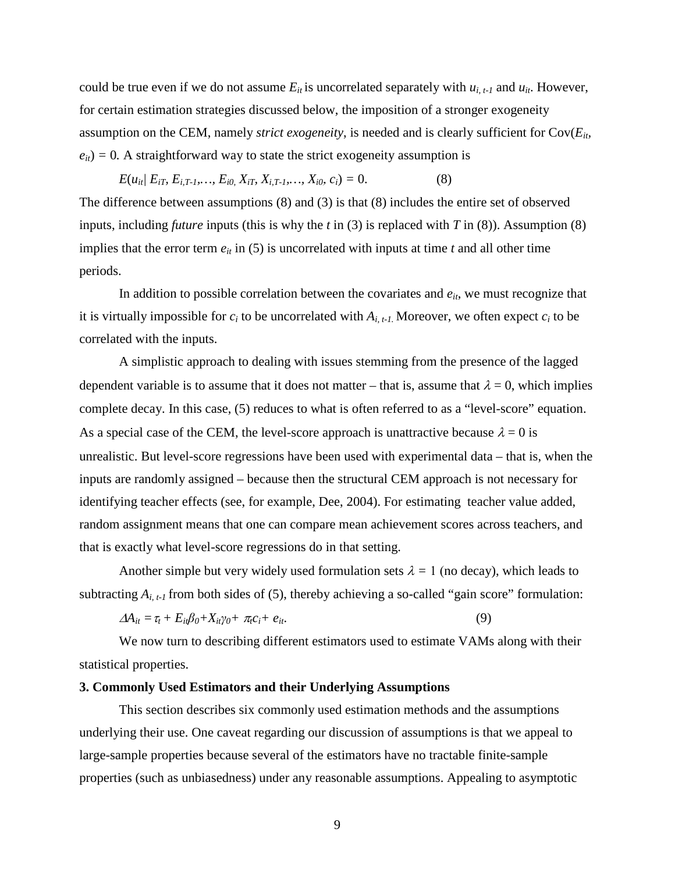could be true even if we do not assume  $E_{it}$  is uncorrelated separately with  $u_{i, t-1}$  and  $u_{it}$ . However, for certain estimation strategies discussed below, the imposition of a stronger exogeneity assumption on the CEM, namely *strict exogeneity*, is needed and is clearly sufficient for Cov(*Eit,*   $e_{it}$ ) = 0. A straightforward way to state the strict exogeneity assumption is

 $E(u_{ii} | E_{iT}, E_{i,T-l}, \ldots, E_{i0, X_{iT}, X_{i,T-l}, \ldots, X_{i0}, c_i) = 0.$  (8) The difference between assumptions (8) and (3) is that (8) includes the entire set of observed inputs, including *future* inputs (this is why the *t* in (3) is replaced with *T* in (8)). Assumption (8) implies that the error term  $e_{it}$  in (5) is uncorrelated with inputs at time  $t$  and all other time periods.

In addition to possible correlation between the covariates and *eit*, we must recognize that it is virtually impossible for  $c_i$  to be uncorrelated with  $A_{i, t-1}$ . Moreover, we often expect  $c_i$  to be correlated with the inputs.

A simplistic approach to dealing with issues stemming from the presence of the lagged dependent variable is to assume that it does not matter – that is, assume that  $\lambda = 0$ , which implies complete decay. In this case, (5) reduces to what is often referred to as a "level-score" equation. As a special case of the CEM, the level-score approach is unattractive because  $\lambda = 0$  is unrealistic. But level-score regressions have been used with experimental data – that is, when the inputs are randomly assigned – because then the structural CEM approach is not necessary for identifying teacher effects (see, for example, Dee, 2004). For estimating teacher value added, random assignment means that one can compare mean achievement scores across teachers, and that is exactly what level-score regressions do in that setting.

Another simple but very widely used formulation sets  $\lambda = 1$  (no decay), which leads to subtracting  $A_{i,t-1}$  from both sides of (5), thereby achieving a so-called "gain score" formulation:

$$
\Delta A_{it} = \tau_t + E_{it} \beta_0 + X_{it} \gamma_0 + \pi_t c_i + e_{it}. \tag{9}
$$

We now turn to describing different estimators used to estimate VAMs along with their statistical properties.

#### **3. Commonly Used Estimators and their Underlying Assumptions**

This section describes six commonly used estimation methods and the assumptions underlying their use. One caveat regarding our discussion of assumptions is that we appeal to large-sample properties because several of the estimators have no tractable finite-sample properties (such as unbiasedness) under any reasonable assumptions. Appealing to asymptotic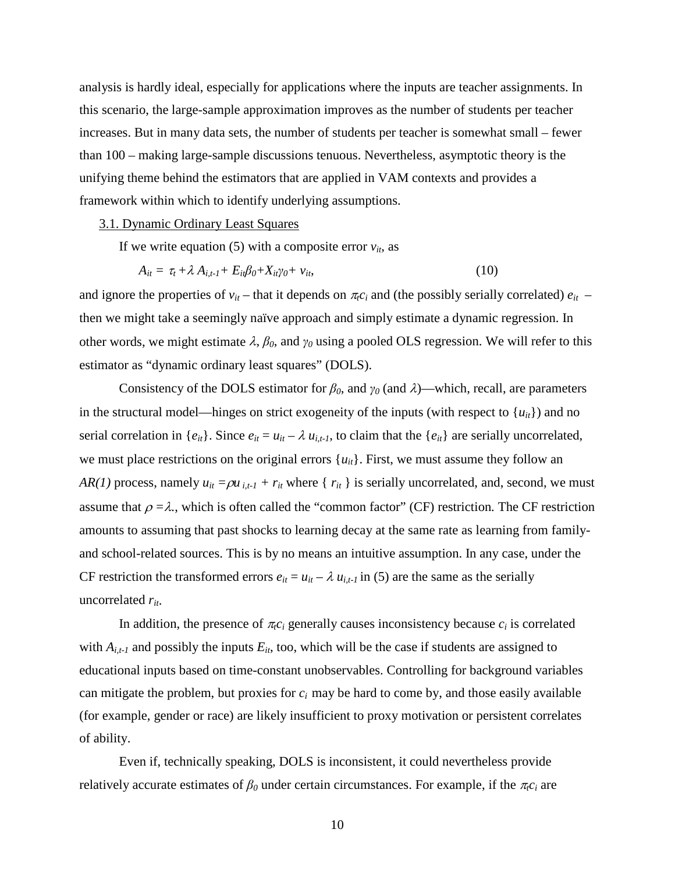analysis is hardly ideal, especially for applications where the inputs are teacher assignments. In this scenario, the large-sample approximation improves as the number of students per teacher increases. But in many data sets, the number of students per teacher is somewhat small – fewer than 100 – making large-sample discussions tenuous. Nevertheless, asymptotic theory is the unifying theme behind the estimators that are applied in VAM contexts and provides a framework within which to identify underlying assumptions.

#### 3.1. Dynamic Ordinary Least Squares

If we write equation  $(5)$  with a composite error  $v_{it}$ , as

$$
A_{it} = \tau_t + \lambda A_{i,t-1} + E_{it}\beta_0 + X_{it}\gamma_0 + v_{it}, \qquad (10)
$$

and ignore the properties of  $v_{it}$  – that it depends on  $\pi_i c_i$  and (the possibly serially correlated)  $e_{it}$  – then we might take a seemingly naïve approach and simply estimate a dynamic regression. In other words, we might estimate λ, *β0*, and *γ<sup>0</sup>* using a pooled OLS regression. We will refer to this estimator as "dynamic ordinary least squares" (DOLS).

Consistency of the DOLS estimator for  $\beta_0$ , and  $\gamma_0$  (and  $\lambda$ )—which, recall, are parameters in the structural model—hinges on strict exogeneity of the inputs (with respect to  $\{u_{it}\}\$ ) and no serial correlation in  $\{e_{it}\}\$ . Since  $e_{it} = u_{it} - \lambda u_{i,t-1}$ , to claim that the  $\{e_{it}\}\$ are serially uncorrelated, we must place restrictions on the original errors  $\{u_{it}\}\$ . First, we must assume they follow an *AR(1)* process, namely  $u_{it} = \rho u_{i,t-1} + r_{it}$  where {  $r_{it}$  } is serially uncorrelated, and, second, we must assume that  $\rho = \lambda$ , which is often called the "common factor" (CF) restriction. The CF restriction amounts to assuming that past shocks to learning decay at the same rate as learning from familyand school-related sources. This is by no means an intuitive assumption. In any case, under the CF restriction the transformed errors  $e_{it} = u_{it} - \lambda u_{i,t-1}$  in (5) are the same as the serially uncorrelated  $r_{it}$ .

In addition, the presence of  $\pi_{c_i}$  generally causes inconsistency because  $c_i$  is correlated with  $A_{i,t-1}$  and possibly the inputs  $E_{it}$ , too, which will be the case if students are assigned to educational inputs based on time-constant unobservables. Controlling for background variables can mitigate the problem, but proxies for *ci* may be hard to come by, and those easily available (for example, gender or race) are likely insufficient to proxy motivation or persistent correlates of ability.

Even if, technically speaking, DOLS is inconsistent, it could nevertheless provide relatively accurate estimates of  $\beta_0$  under certain circumstances. For example, if the  $\pi_i c_i$  are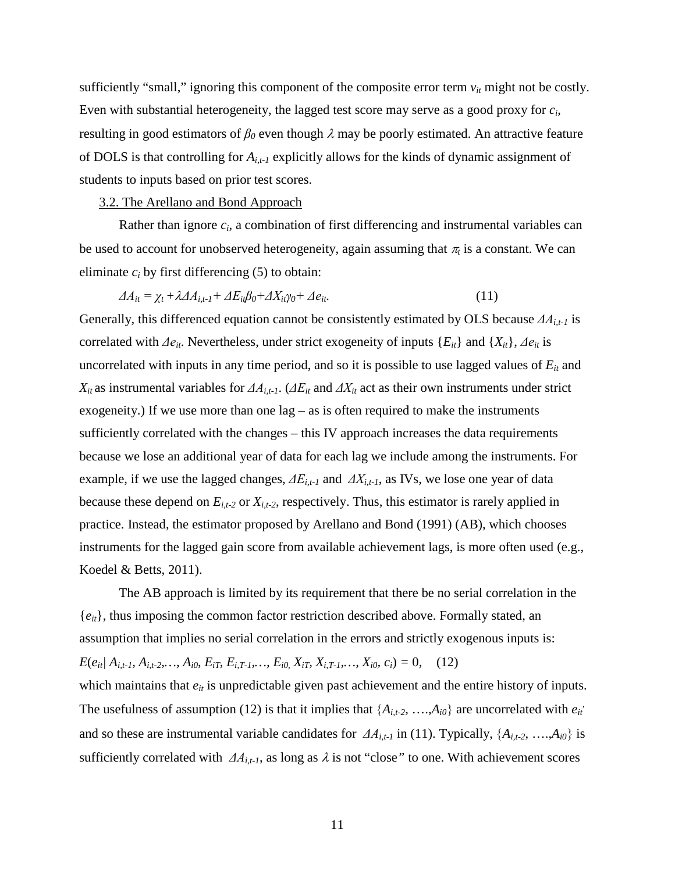sufficiently "small," ignoring this component of the composite error term  $v_{it}$  might not be costly. Even with substantial heterogeneity, the lagged test score may serve as a good proxy for *ci*, resulting in good estimators of *β<sup>0</sup>* even though <sup>λ</sup> may be poorly estimated. An attractive feature of DOLS is that controlling for *Ai,t-1* explicitly allows for the kinds of dynamic assignment of students to inputs based on prior test scores.

#### 3.2. The Arellano and Bond Approach

Rather than ignore *ci*, a combination of first differencing and instrumental variables can be used to account for unobserved heterogeneity, again assuming that  $\pi_t$  is a constant. We can eliminate  $c_i$  by first differencing  $(5)$  to obtain:

$$
\Delta A_{it} = \chi_t + \lambda \Delta A_{i,t-1} + \Delta E_{it} \beta_0 + \Delta X_{it} \gamma_0 + \Delta e_{it}.
$$
\n(11)

Generally, this differenced equation cannot be consistently estimated by OLS because *ΔAi,t-1* is correlated with  $\Delta e_i$ . Nevertheless, under strict exogeneity of inputs {*E<sub>it</sub>*} and {*X<sub>it</sub>*},  $\Delta e_i$  is uncorrelated with inputs in any time period, and so it is possible to use lagged values of  $E_{it}$  and  $X_{it}$  as instrumental variables for  $\Delta A_{it-1}$ . ( $\Delta E_{it}$  and  $\Delta X_{it}$  act as their own instruments under strict exogeneity.) If we use more than one  $lag - as$  is often required to make the instruments sufficiently correlated with the changes – this IV approach increases the data requirements because we lose an additional year of data for each lag we include among the instruments. For example, if we use the lagged changes, *ΔEi,t-1* and *ΔXi,t-1*, as IVs, we lose one year of data because these depend on  $E_{i,t-2}$  or  $X_{i,t-2}$ , respectively. Thus, this estimator is rarely applied in practice. Instead, the estimator proposed by Arellano and Bond (1991) (AB), which chooses instruments for the lagged gain score from available achievement lags, is more often used (e.g., Koedel & Betts, 2011).

The AB approach is limited by its requirement that there be no serial correlation in the {*eit*}, thus imposing the common factor restriction described above. Formally stated, an assumption that implies no serial correlation in the errors and strictly exogenous inputs is:

$$
E(e_{it} | A_{i,t-1}, A_{i,t-2},..., A_{i0}, E_{iT}, E_{i,T-1},..., E_{i0}, X_{iT}, X_{i,T-1},..., X_{i0}, c_i) = 0, \quad (12)
$$

which maintains that  $e_{it}$  is unpredictable given past achievement and the entire history of inputs. The usefulness of assumption (12) is that it implies that  $\{A_{i,t-2}, \ldots, A_{i0}\}$  are uncorrelated with  $e_{ii}$ and so these are instrumental variable candidates for  $\Delta A_{i,t-1}$  in (11). Typically,  $\{A_{i,t-2}, \ldots, A_{i0}\}$  is sufficiently correlated with  $\Delta A_{i,t-1}$ , as long as  $\lambda$  is not "close" to one. With achievement scores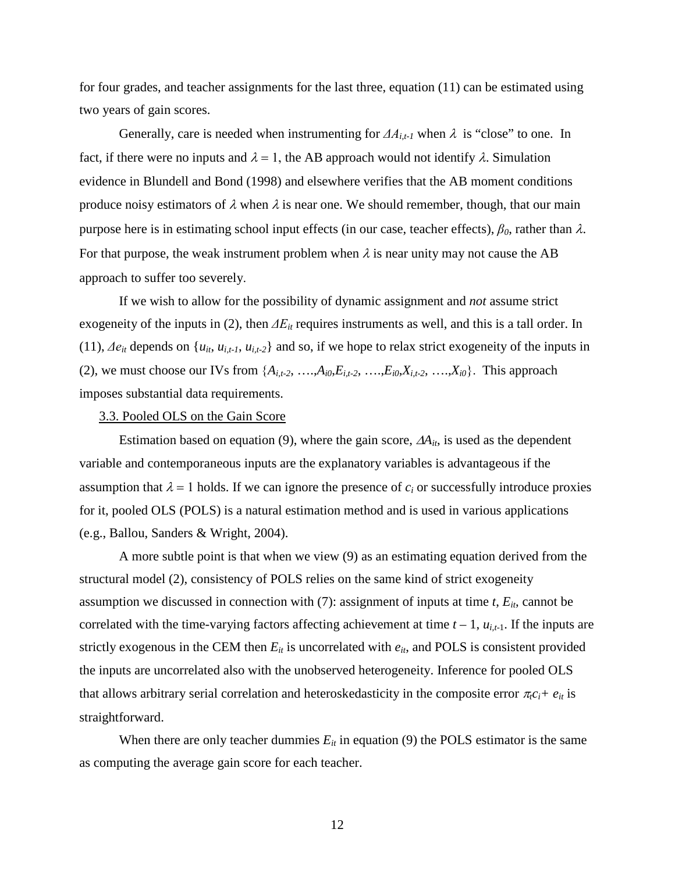for four grades, and teacher assignments for the last three, equation (11) can be estimated using two years of gain scores.

Generally, care is needed when instrumenting for  $\Delta A_{i,t-1}$  when  $\lambda$  is "close" to one. In fact, if there were no inputs and  $\lambda = 1$ , the AB approach would not identify  $\lambda$ . Simulation evidence in Blundell and Bond (1998) and elsewhere verifies that the AB moment conditions produce noisy estimators of  $\lambda$  when  $\lambda$  is near one. We should remember, though, that our main purpose here is in estimating school input effects (in our case, teacher effects), *β0*, rather than λ. For that purpose, the weak instrument problem when  $\lambda$  is near unity may not cause the AB approach to suffer too severely.

If we wish to allow for the possibility of dynamic assignment and *not* assume strict exogeneity of the inputs in (2), then *ΔEit* requires instruments as well, and this is a tall order. In  $(11)$ ,  $\Delta e_i$  depends on  $\{u_i, u_{i,t-1}, u_{i,t-2}\}$  and so, if we hope to relax strict exogeneity of the inputs in (2), we must choose our IVs from  $\{A_{i,t-2}, ..., A_{i0}, E_{i,t-2}, ..., E_{i0}, X_{i,t-2}, ..., X_{i0}\}$ . This approach imposes substantial data requirements.

#### 3.3. Pooled OLS on the Gain Score

Estimation based on equation (9), where the gain score,  $\Delta A_{it}$ , is used as the dependent variable and contemporaneous inputs are the explanatory variables is advantageous if the assumption that  $\lambda = 1$  holds. If we can ignore the presence of  $c_i$  or successfully introduce proxies for it, pooled OLS (POLS) is a natural estimation method and is used in various applications (e.g., Ballou, Sanders & Wright, 2004).

A more subtle point is that when we view (9) as an estimating equation derived from the structural model (2), consistency of POLS relies on the same kind of strict exogeneity assumption we discussed in connection with  $(7)$ : assignment of inputs at time  $t$ ,  $E_{it}$ , cannot be correlated with the time-varying factors affecting achievement at time  $t - 1$ ,  $u_{i,t-1}$ . If the inputs are strictly exogenous in the CEM then  $E_{it}$  is uncorrelated with  $e_{it}$ , and POLS is consistent provided the inputs are uncorrelated also with the unobserved heterogeneity. Inference for pooled OLS that allows arbitrary serial correlation and heteroskedasticity in the composite error  $\pi_{i}c_{i} + e_{it}$  is straightforward.

When there are only teacher dummies  $E_{it}$  in equation (9) the POLS estimator is the same as computing the average gain score for each teacher.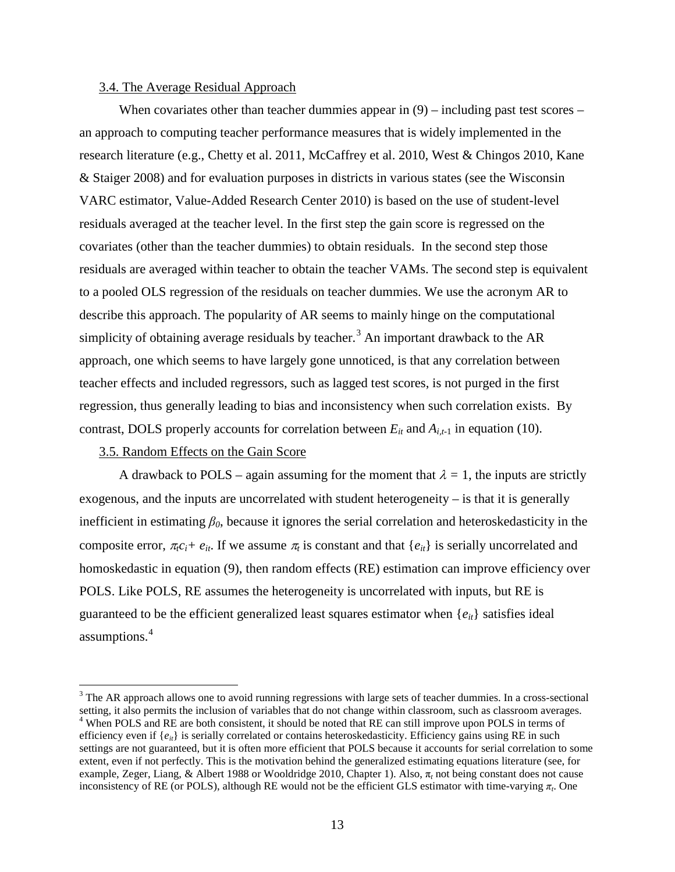#### 3.4. The Average Residual Approach

When covariates other than teacher dummies appear in  $(9)$  – including past test scores – an approach to computing teacher performance measures that is widely implemented in the research literature (e.g., Chetty et al. 2011, McCaffrey et al. 2010, West & Chingos 2010, Kane & Staiger 2008) and for evaluation purposes in districts in various states (see the Wisconsin VARC estimator, Value-Added Research Center 2010) is based on the use of student-level residuals averaged at the teacher level. In the first step the gain score is regressed on the covariates (other than the teacher dummies) to obtain residuals. In the second step those residuals are averaged within teacher to obtain the teacher VAMs. The second step is equivalent to a pooled OLS regression of the residuals on teacher dummies. We use the acronym AR to describe this approach. The popularity of AR seems to mainly hinge on the computational simplicity of obtaining average residuals by teacher.<sup>[3](#page-14-0)</sup> An important drawback to the AR approach, one which seems to have largely gone unnoticed, is that any correlation between teacher effects and included regressors, such as lagged test scores, is not purged in the first regression, thus generally leading to bias and inconsistency when such correlation exists. By contrast, DOLS properly accounts for correlation between  $E_{it}$  and  $A_{i,t-1}$  in equation (10).

3.5. Random Effects on the Gain Score

A drawback to POLS – again assuming for the moment that  $\lambda = 1$ , the inputs are strictly exogenous, and the inputs are uncorrelated with student heterogeneity – is that it is generally inefficient in estimating  $\beta_0$ , because it ignores the serial correlation and heteroskedasticity in the composite error,  $\pi_{i}c_{i} + e_{it}$ . If we assume  $\pi_{i}$  is constant and that  $\{e_{it}\}\$ is serially uncorrelated and homoskedastic in equation (9), then random effects (RE) estimation can improve efficiency over POLS. Like POLS, RE assumes the heterogeneity is uncorrelated with inputs, but RE is guaranteed to be the efficient generalized least squares estimator when {*eit*} satisfies ideal assumptions.[4](#page-14-1)

<span id="page-14-1"></span><span id="page-14-0"></span> $3$  The AR approach allows one to avoid running regressions with large sets of teacher dummies. In a cross-sectional setting, it also permits the inclusion of variables that do not change within classroom, such as classroom averages.  $4$  When POLS and RE are both consistent, it should be noted that RE can still improve upon POLS in terms of efficiency even if {*e<sub>it</sub>*} is serially correlated or contains heteroskedasticity. Efficiency gains using RE in such settings are not guaranteed, but it is often more efficient that POLS because it accounts for serial correlation to some extent, even if not perfectly. This is the motivation behind the generalized estimating equations literature (see, for example, Zeger, Liang, & Albert 1988 or Wooldridge 2010, Chapter 1). Also,  $\pi_t$  not being constant does not cause inconsistency of RE (or POLS), although RE would not be the efficient GLS estimator with time-varying *πt*. One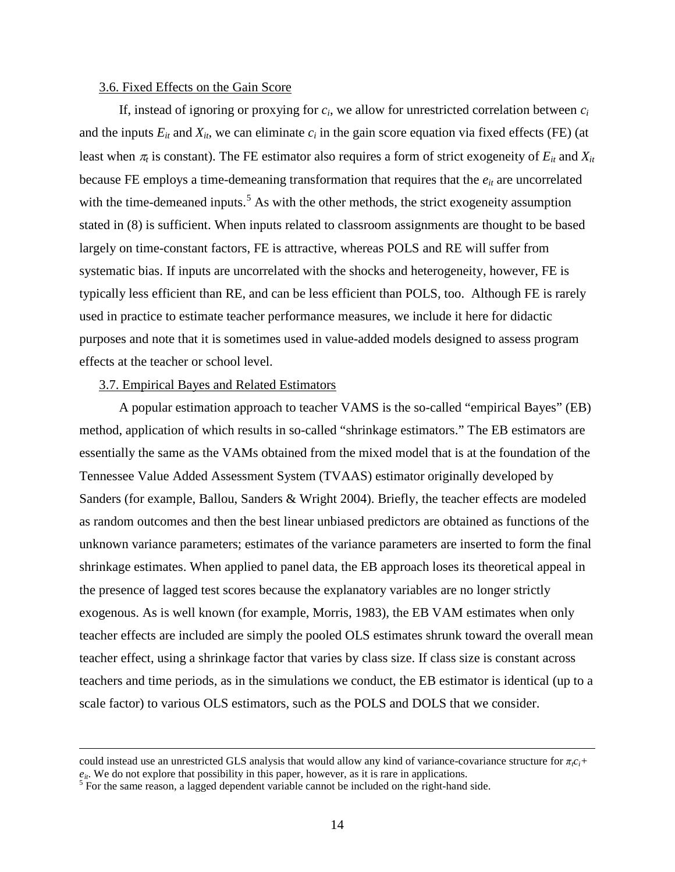#### 3.6. Fixed Effects on the Gain Score

If, instead of ignoring or proxying for  $c_i$ , we allow for unrestricted correlation between  $c_i$ and the inputs  $E_{it}$  and  $X_{it}$ , we can eliminate  $c_i$  in the gain score equation via fixed effects (FE) (at least when  $\pi$  is constant). The FE estimator also requires a form of strict exogeneity of  $E_{it}$  and  $X_{it}$ because FE employs a time-demeaning transformation that requires that the  $e_{it}$  are uncorrelated with the time-demeaned inputs.<sup>[5](#page-15-0)</sup> As with the other methods, the strict exogeneity assumption stated in (8) is sufficient. When inputs related to classroom assignments are thought to be based largely on time-constant factors, FE is attractive, whereas POLS and RE will suffer from systematic bias. If inputs are uncorrelated with the shocks and heterogeneity, however, FE is typically less efficient than RE, and can be less efficient than POLS, too. Although FE is rarely used in practice to estimate teacher performance measures, we include it here for didactic purposes and note that it is sometimes used in value-added models designed to assess program effects at the teacher or school level.

#### 3.7. Empirical Bayes and Related Estimators

A popular estimation approach to teacher VAMS is the so-called "empirical Bayes" (EB) method, application of which results in so-called "shrinkage estimators." The EB estimators are essentially the same as the VAMs obtained from the mixed model that is at the foundation of the Tennessee Value Added Assessment System (TVAAS) estimator originally developed by Sanders (for example, Ballou, Sanders & Wright 2004). Briefly, the teacher effects are modeled as random outcomes and then the best linear unbiased predictors are obtained as functions of the unknown variance parameters; estimates of the variance parameters are inserted to form the final shrinkage estimates. When applied to panel data, the EB approach loses its theoretical appeal in the presence of lagged test scores because the explanatory variables are no longer strictly exogenous. As is well known (for example, Morris, 1983), the EB VAM estimates when only teacher effects are included are simply the pooled OLS estimates shrunk toward the overall mean teacher effect, using a shrinkage factor that varies by class size. If class size is constant across teachers and time periods, as in the simulations we conduct, the EB estimator is identical (up to a scale factor) to various OLS estimators, such as the POLS and DOLS that we consider.

could instead use an unrestricted GLS analysis that would allow any kind of variance-covariance structure for  $\pi_i c_i + e_{ii}$ . We do not explore that possibility in this paper, however, as it is rare in applications.

<span id="page-15-0"></span><sup>&</sup>lt;sup>5</sup> For the same reason, a lagged dependent variable cannot be included on the right-hand side.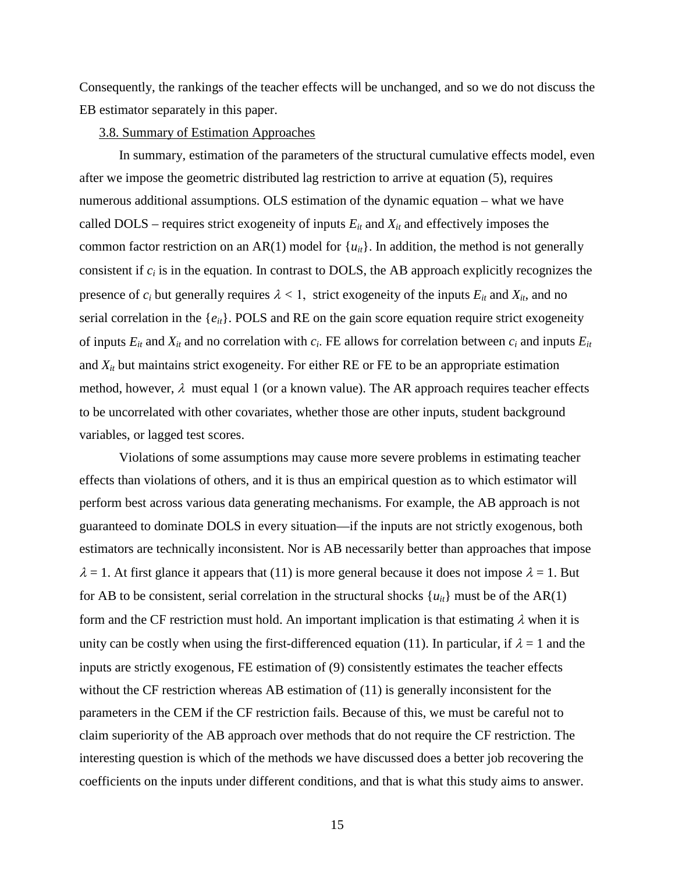Consequently, the rankings of the teacher effects will be unchanged, and so we do not discuss the EB estimator separately in this paper.

#### 3.8. Summary of Estimation Approaches

In summary, estimation of the parameters of the structural cumulative effects model, even after we impose the geometric distributed lag restriction to arrive at equation (5), requires numerous additional assumptions. OLS estimation of the dynamic equation – what we have called DOLS – requires strict exogeneity of inputs  $E_{it}$  and  $X_{it}$  and effectively imposes the common factor restriction on an AR(1) model for  $\{u_{it}\}\$ . In addition, the method is not generally consistent if *ci* is in the equation. In contrast to DOLS, the AB approach explicitly recognizes the presence of  $c_i$  but generally requires  $\lambda < 1$ , strict exogeneity of the inputs  $E_{it}$  and  $X_{it}$ , and no serial correlation in the {*eit*}. POLS and RE on the gain score equation require strict exogeneity of inputs *Eit* and *Xit* and no correlation with *ci*. FE allows for correlation between *ci* and inputs *Eit* and  $X_{it}$  but maintains strict exogeneity. For either RE or FE to be an appropriate estimation method, however,  $\lambda$  must equal 1 (or a known value). The AR approach requires teacher effects to be uncorrelated with other covariates, whether those are other inputs, student background variables, or lagged test scores.

Violations of some assumptions may cause more severe problems in estimating teacher effects than violations of others, and it is thus an empirical question as to which estimator will perform best across various data generating mechanisms. For example, the AB approach is not guaranteed to dominate DOLS in every situation—if the inputs are not strictly exogenous, both estimators are technically inconsistent. Nor is AB necessarily better than approaches that impose  $\lambda = 1$ . At first glance it appears that (11) is more general because it does not impose  $\lambda = 1$ . But for AB to be consistent, serial correlation in the structural shocks  $\{u_{it}\}\$  must be of the AR(1) form and the CF restriction must hold. An important implication is that estimating  $\lambda$  when it is unity can be costly when using the first-differenced equation (11). In particular, if  $\lambda = 1$  and the inputs are strictly exogenous, FE estimation of (9) consistently estimates the teacher effects without the CF restriction whereas AB estimation of (11) is generally inconsistent for the parameters in the CEM if the CF restriction fails. Because of this, we must be careful not to claim superiority of the AB approach over methods that do not require the CF restriction. The interesting question is which of the methods we have discussed does a better job recovering the coefficients on the inputs under different conditions, and that is what this study aims to answer.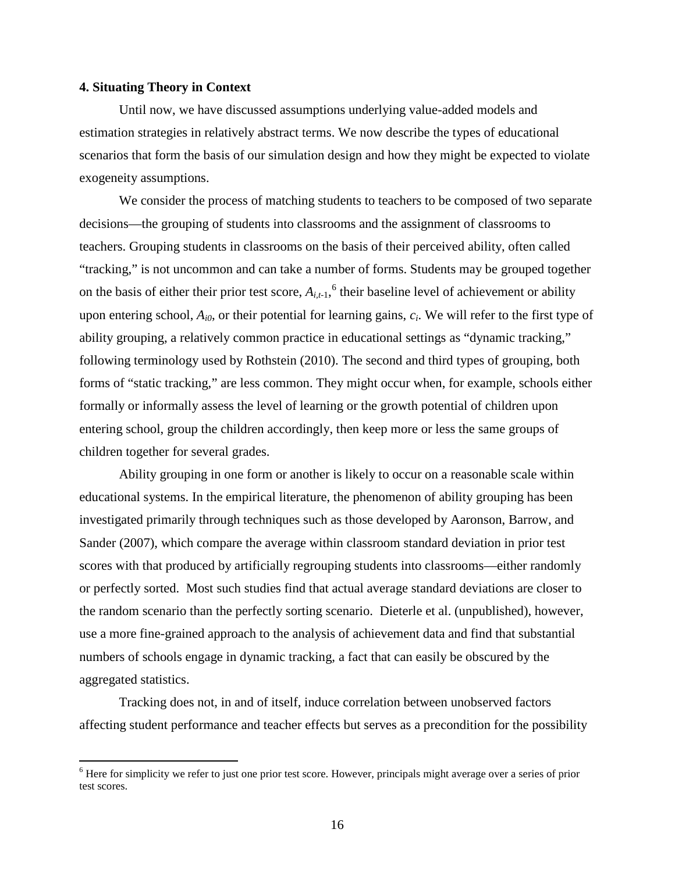#### **4. Situating Theory in Context**

Until now, we have discussed assumptions underlying value-added models and estimation strategies in relatively abstract terms. We now describe the types of educational scenarios that form the basis of our simulation design and how they might be expected to violate exogeneity assumptions.

We consider the process of matching students to teachers to be composed of two separate decisions—the grouping of students into classrooms and the assignment of classrooms to teachers. Grouping students in classrooms on the basis of their perceived ability, often called "tracking," is not uncommon and can take a number of forms. Students may be grouped together on the basis of either their prior test score,  $A_{i,t-1}$ , their baseline level of achievement or ability upon entering school, *Ai0*, or their potential for learning gains, *ci*. We will refer to the first type of ability grouping, a relatively common practice in educational settings as "dynamic tracking," following terminology used by Rothstein (2010). The second and third types of grouping, both forms of "static tracking," are less common. They might occur when, for example, schools either formally or informally assess the level of learning or the growth potential of children upon entering school, group the children accordingly, then keep more or less the same groups of children together for several grades.

Ability grouping in one form or another is likely to occur on a reasonable scale within educational systems. In the empirical literature, the phenomenon of ability grouping has been investigated primarily through techniques such as those developed by Aaronson, Barrow, and Sander (2007), which compare the average within classroom standard deviation in prior test scores with that produced by artificially regrouping students into classrooms—either randomly or perfectly sorted. Most such studies find that actual average standard deviations are closer to the random scenario than the perfectly sorting scenario. Dieterle et al. (unpublished), however, use a more fine-grained approach to the analysis of achievement data and find that substantial numbers of schools engage in dynamic tracking, a fact that can easily be obscured by the aggregated statistics.

Tracking does not, in and of itself, induce correlation between unobserved factors affecting student performance and teacher effects but serves as a precondition for the possibility

<span id="page-17-0"></span> $<sup>6</sup>$  Here for simplicity we refer to just one prior test score. However, principals might average over a series of prior</sup> test scores.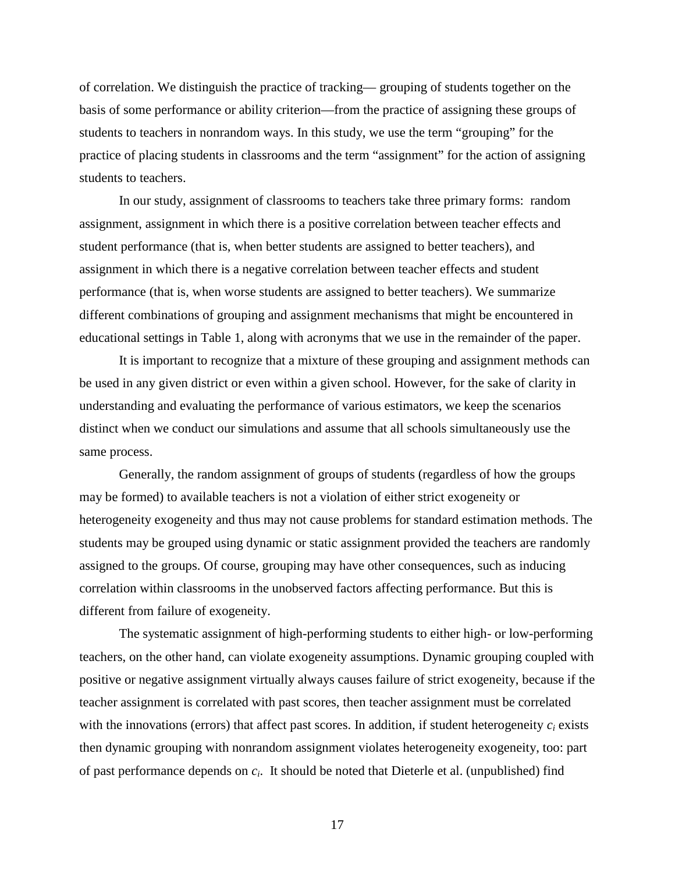of correlation. We distinguish the practice of tracking— grouping of students together on the basis of some performance or ability criterion—from the practice of assigning these groups of students to teachers in nonrandom ways. In this study, we use the term "grouping" for the practice of placing students in classrooms and the term "assignment" for the action of assigning students to teachers.

In our study, assignment of classrooms to teachers take three primary forms: random assignment, assignment in which there is a positive correlation between teacher effects and student performance (that is, when better students are assigned to better teachers), and assignment in which there is a negative correlation between teacher effects and student performance (that is, when worse students are assigned to better teachers). We summarize different combinations of grouping and assignment mechanisms that might be encountered in educational settings in Table 1, along with acronyms that we use in the remainder of the paper.

It is important to recognize that a mixture of these grouping and assignment methods can be used in any given district or even within a given school. However, for the sake of clarity in understanding and evaluating the performance of various estimators, we keep the scenarios distinct when we conduct our simulations and assume that all schools simultaneously use the same process.

Generally, the random assignment of groups of students (regardless of how the groups may be formed) to available teachers is not a violation of either strict exogeneity or heterogeneity exogeneity and thus may not cause problems for standard estimation methods. The students may be grouped using dynamic or static assignment provided the teachers are randomly assigned to the groups. Of course, grouping may have other consequences, such as inducing correlation within classrooms in the unobserved factors affecting performance. But this is different from failure of exogeneity.

The systematic assignment of high-performing students to either high- or low-performing teachers, on the other hand, can violate exogeneity assumptions. Dynamic grouping coupled with positive or negative assignment virtually always causes failure of strict exogeneity, because if the teacher assignment is correlated with past scores, then teacher assignment must be correlated with the innovations (errors) that affect past scores. In addition, if student heterogeneity  $c_i$  exists then dynamic grouping with nonrandom assignment violates heterogeneity exogeneity, too: part of past performance depends on *ci*. It should be noted that Dieterle et al. (unpublished) find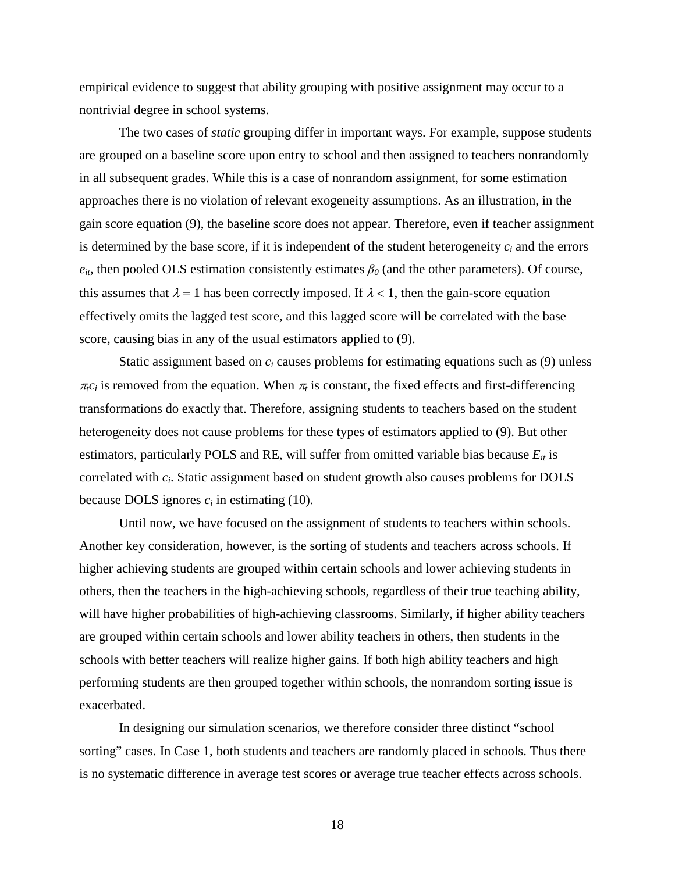empirical evidence to suggest that ability grouping with positive assignment may occur to a nontrivial degree in school systems.

The two cases of *static* grouping differ in important ways. For example, suppose students are grouped on a baseline score upon entry to school and then assigned to teachers nonrandomly in all subsequent grades. While this is a case of nonrandom assignment, for some estimation approaches there is no violation of relevant exogeneity assumptions. As an illustration, in the gain score equation (9), the baseline score does not appear. Therefore, even if teacher assignment is determined by the base score, if it is independent of the student heterogeneity  $c_i$  and the errors  $e_{it}$ , then pooled OLS estimation consistently estimates  $\beta_0$  (and the other parameters). Of course, this assumes that  $\lambda = 1$  has been correctly imposed. If  $\lambda < 1$ , then the gain-score equation effectively omits the lagged test score, and this lagged score will be correlated with the base score, causing bias in any of the usual estimators applied to (9).

Static assignment based on *ci* causes problems for estimating equations such as (9) unless  $\pi c_i$  is removed from the equation. When  $\pi t$  is constant, the fixed effects and first-differencing transformations do exactly that. Therefore, assigning students to teachers based on the student heterogeneity does not cause problems for these types of estimators applied to (9). But other estimators, particularly POLS and RE, will suffer from omitted variable bias because  $E_{it}$  is correlated with *ci*. Static assignment based on student growth also causes problems for DOLS because DOLS ignores  $c_i$  in estimating (10).

Until now, we have focused on the assignment of students to teachers within schools. Another key consideration, however, is the sorting of students and teachers across schools. If higher achieving students are grouped within certain schools and lower achieving students in others, then the teachers in the high-achieving schools, regardless of their true teaching ability, will have higher probabilities of high-achieving classrooms. Similarly, if higher ability teachers are grouped within certain schools and lower ability teachers in others, then students in the schools with better teachers will realize higher gains. If both high ability teachers and high performing students are then grouped together within schools, the nonrandom sorting issue is exacerbated.

In designing our simulation scenarios, we therefore consider three distinct "school sorting" cases. In Case 1, both students and teachers are randomly placed in schools. Thus there is no systematic difference in average test scores or average true teacher effects across schools.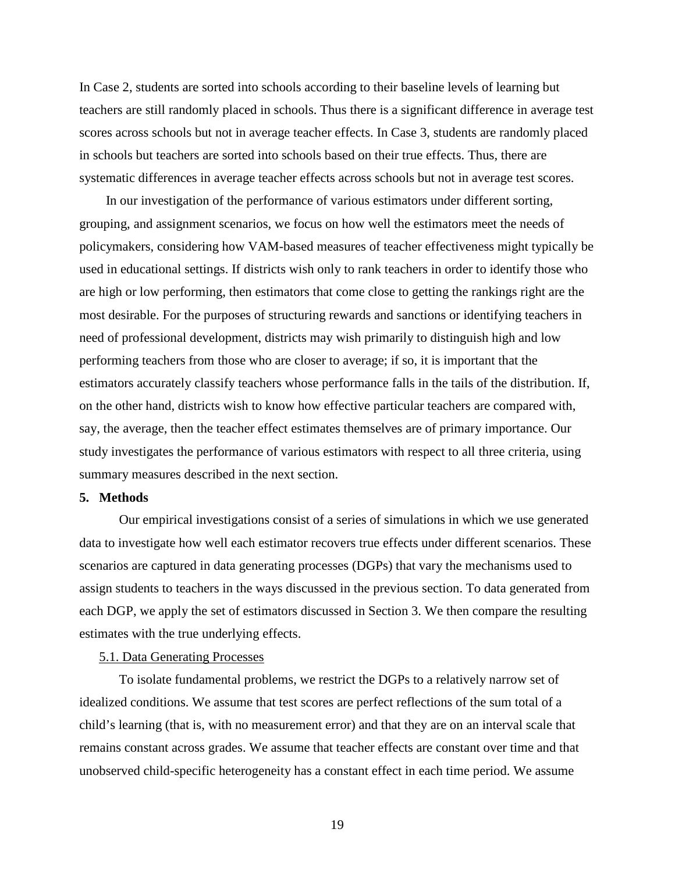In Case 2, students are sorted into schools according to their baseline levels of learning but teachers are still randomly placed in schools. Thus there is a significant difference in average test scores across schools but not in average teacher effects. In Case 3, students are randomly placed in schools but teachers are sorted into schools based on their true effects. Thus, there are systematic differences in average teacher effects across schools but not in average test scores.

 In our investigation of the performance of various estimators under different sorting, grouping, and assignment scenarios, we focus on how well the estimators meet the needs of policymakers, considering how VAM-based measures of teacher effectiveness might typically be used in educational settings. If districts wish only to rank teachers in order to identify those who are high or low performing, then estimators that come close to getting the rankings right are the most desirable. For the purposes of structuring rewards and sanctions or identifying teachers in need of professional development, districts may wish primarily to distinguish high and low performing teachers from those who are closer to average; if so, it is important that the estimators accurately classify teachers whose performance falls in the tails of the distribution. If, on the other hand, districts wish to know how effective particular teachers are compared with, say, the average, then the teacher effect estimates themselves are of primary importance. Our study investigates the performance of various estimators with respect to all three criteria, using summary measures described in the next section.

#### **5. Methods**

Our empirical investigations consist of a series of simulations in which we use generated data to investigate how well each estimator recovers true effects under different scenarios. These scenarios are captured in data generating processes (DGPs) that vary the mechanisms used to assign students to teachers in the ways discussed in the previous section. To data generated from each DGP, we apply the set of estimators discussed in Section 3. We then compare the resulting estimates with the true underlying effects.

#### 5.1. Data Generating Processes

To isolate fundamental problems, we restrict the DGPs to a relatively narrow set of idealized conditions. We assume that test scores are perfect reflections of the sum total of a child's learning (that is, with no measurement error) and that they are on an interval scale that remains constant across grades. We assume that teacher effects are constant over time and that unobserved child-specific heterogeneity has a constant effect in each time period. We assume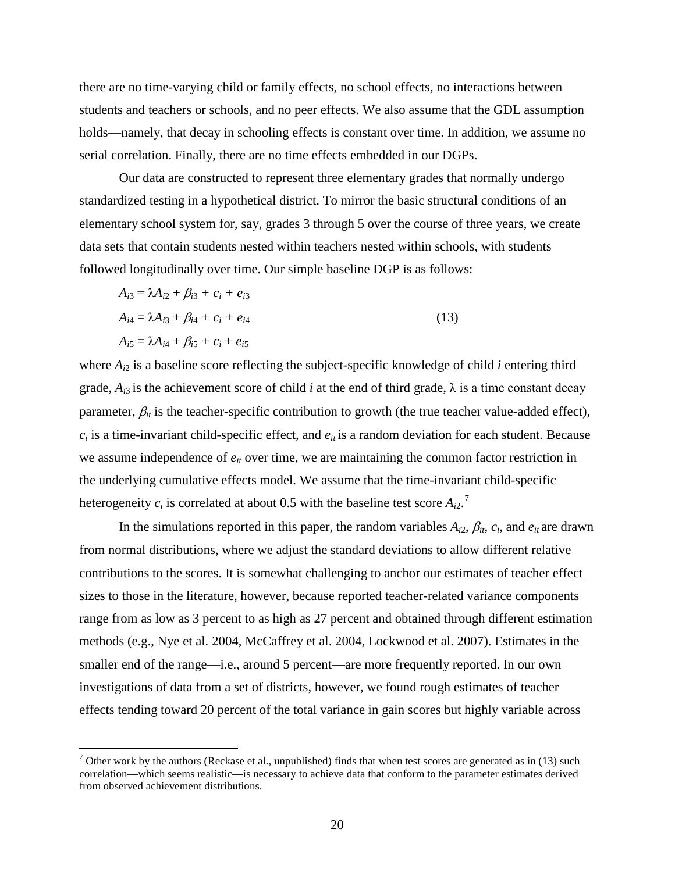there are no time-varying child or family effects, no school effects, no interactions between students and teachers or schools, and no peer effects. We also assume that the GDL assumption holds—namely, that decay in schooling effects is constant over time. In addition, we assume no serial correlation. Finally, there are no time effects embedded in our DGPs.

Our data are constructed to represent three elementary grades that normally undergo standardized testing in a hypothetical district. To mirror the basic structural conditions of an elementary school system for, say, grades 3 through 5 over the course of three years, we create data sets that contain students nested within teachers nested within schools, with students followed longitudinally over time. Our simple baseline DGP is as follows:

$$
A_{i3} = \lambda A_{i2} + \beta_{i3} + c_i + e_{i3}
$$
  
\n
$$
A_{i4} = \lambda A_{i3} + \beta_{i4} + c_i + e_{i4}
$$
  
\n
$$
A_{i5} = \lambda A_{i4} + \beta_{i5} + c_i + e_{i5}
$$
\n(13)

where  $A_{i2}$  is a baseline score reflecting the subject-specific knowledge of child *i* entering third grade,  $A_{i3}$  is the achievement score of child *i* at the end of third grade,  $\lambda$  is a time constant decay parameter,  $\beta_{it}$  is the teacher-specific contribution to growth (the true teacher value-added effect),  $c_i$  is a time-invariant child-specific effect, and  $e_i$  is a random deviation for each student. Because we assume independence of  $e_{it}$  over time, we are maintaining the common factor restriction in the underlying cumulative effects model. We assume that the time-invariant child-specific heterogeneity  $c_i$  is correlated at about 0.5 with the baseline test score  $A_{i2}$ .<sup>[7](#page-21-0)</sup>

In the simulations reported in this paper, the random variables  $A_{i2}$ ,  $\beta_{ii}$ ,  $c_i$ , and  $e_{ii}$  are drawn from normal distributions, where we adjust the standard deviations to allow different relative contributions to the scores. It is somewhat challenging to anchor our estimates of teacher effect sizes to those in the literature, however, because reported teacher-related variance components range from as low as 3 percent to as high as 27 percent and obtained through different estimation methods (e.g., Nye et al. 2004, McCaffrey et al. 2004, Lockwood et al. 2007). Estimates in the smaller end of the range—i.e., around 5 percent—are more frequently reported. In our own investigations of data from a set of districts, however, we found rough estimates of teacher effects tending toward 20 percent of the total variance in gain scores but highly variable across

<span id="page-21-0"></span> $7$  Other work by the authors (Reckase et al., unpublished) finds that when test scores are generated as in (13) such correlation—which seems realistic—is necessary to achieve data that conform to the parameter estimates derived from observed achievement distributions.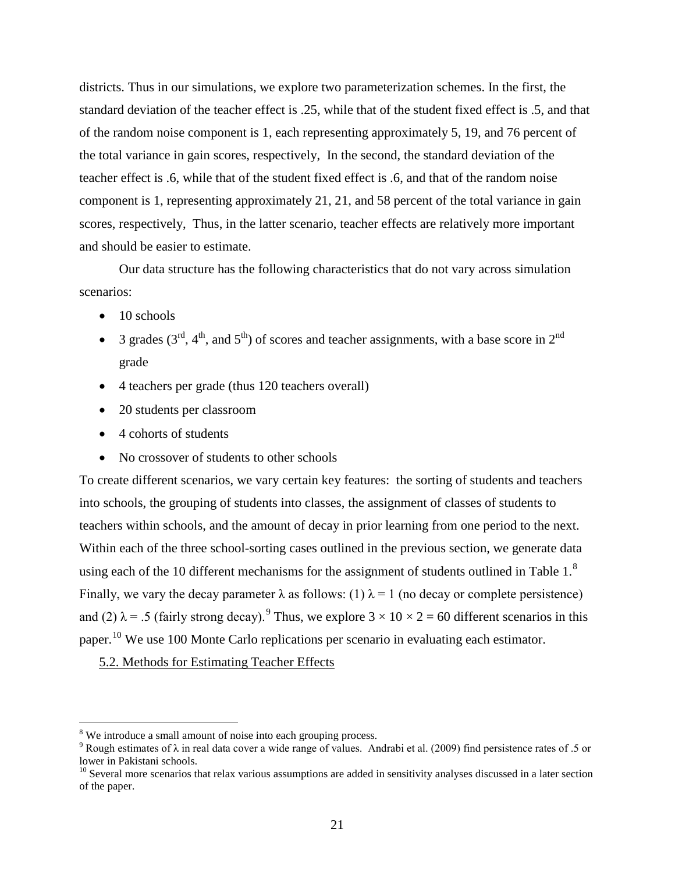districts. Thus in our simulations, we explore two parameterization schemes. In the first, the standard deviation of the teacher effect is .25, while that of the student fixed effect is .5, and that of the random noise component is 1, each representing approximately 5, 19, and 76 percent of the total variance in gain scores, respectively, In the second, the standard deviation of the teacher effect is .6, while that of the student fixed effect is .6, and that of the random noise component is 1, representing approximately 21, 21, and 58 percent of the total variance in gain scores, respectively, Thus, in the latter scenario, teacher effects are relatively more important and should be easier to estimate.

Our data structure has the following characteristics that do not vary across simulation scenarios:

- 10 schools
- 3 grades  $(3<sup>rd</sup>, 4<sup>th</sup>, and 5<sup>th</sup>)$  of scores and teacher assignments, with a base score in  $2<sup>nd</sup>$ grade
- 4 teachers per grade (thus 120 teachers overall)
- 20 students per classroom
- 4 cohorts of students
- No crossover of students to other schools

To create different scenarios, we vary certain key features: the sorting of students and teachers into schools, the grouping of students into classes, the assignment of classes of students to teachers within schools, and the amount of decay in prior learning from one period to the next. Within each of the three school-sorting cases outlined in the previous section, we generate data using each of the 10 different mechanisms for the assignment of students outlined in Table  $1.^8$  $1.^8$ Finally, we vary the decay parameter  $\lambda$  as follows: (1)  $\lambda = 1$  (no decay or complete persistence) and (2)  $\lambda$  = .5 (fairly strong decay).<sup>[9](#page-22-1)</sup> Thus, we explore  $3 \times 10 \times 2 = 60$  different scenarios in this paper.<sup>[10](#page-22-2)</sup> We use 100 Monte Carlo replications per scenario in evaluating each estimator.

5.2. Methods for Estimating Teacher Effects

<span id="page-22-0"></span><sup>&</sup>lt;sup>8</sup> We introduce a small amount of noise into each grouping process.

<span id="page-22-1"></span><sup>&</sup>lt;sup>9</sup> Rough estimates of  $\lambda$  in real data cover a wide range of values. Andrabi et al. (2009) find persistence rates of .5 or lower in Pakistani schools.

<span id="page-22-2"></span> $10$  Several more scenarios that relax various assumptions are added in sensitivity analyses discussed in a later section of the paper.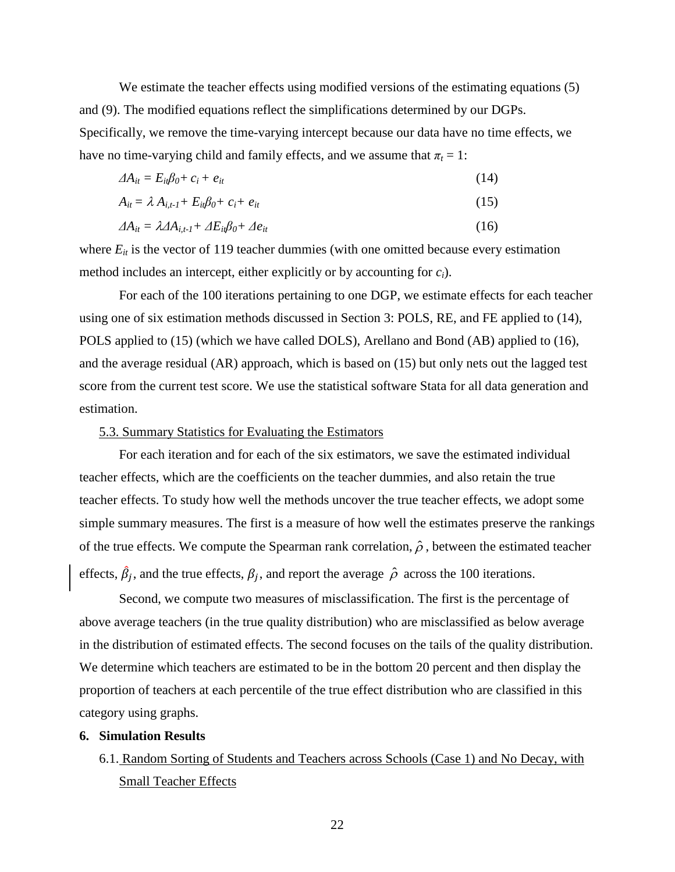We estimate the teacher effects using modified versions of the estimating equations (5) and (9). The modified equations reflect the simplifications determined by our DGPs. Specifically, we remove the time-varying intercept because our data have no time effects, we have no time-varying child and family effects, and we assume that  $\pi_t = 1$ :

$$
\Delta A_{it} = E_{it} \beta_0 + c_i + e_{it} \tag{14}
$$

$$
A_{it} = \lambda A_{i,t-1} + E_{it} \beta_0 + c_i + e_{it} \tag{15}
$$

$$
\Delta A_{it} = \lambda \Delta A_{i,t-1} + \Delta E_{it} \beta_0 + \Delta e_{it} \tag{16}
$$

where  $E_{it}$  is the vector of 119 teacher dummies (with one omitted because every estimation method includes an intercept, either explicitly or by accounting for *ci*).

For each of the 100 iterations pertaining to one DGP, we estimate effects for each teacher using one of six estimation methods discussed in Section 3: POLS, RE, and FE applied to (14), POLS applied to (15) (which we have called DOLS), Arellano and Bond (AB) applied to (16), and the average residual (AR) approach, which is based on (15) but only nets out the lagged test score from the current test score. We use the statistical software Stata for all data generation and estimation.

#### 5.3. Summary Statistics for Evaluating the Estimators

For each iteration and for each of the six estimators, we save the estimated individual teacher effects, which are the coefficients on the teacher dummies, and also retain the true teacher effects. To study how well the methods uncover the true teacher effects, we adopt some simple summary measures. The first is a measure of how well the estimates preserve the rankings of the true effects. We compute the Spearman rank correlation,  $\hat{\rho}$ , between the estimated teacher effects,  $\hat{\beta}_j$ , and the true effects,  $\beta_j$ , and report the average  $\hat{\rho}$  across the 100 iterations.

Second, we compute two measures of misclassification. The first is the percentage of above average teachers (in the true quality distribution) who are misclassified as below average in the distribution of estimated effects. The second focuses on the tails of the quality distribution. We determine which teachers are estimated to be in the bottom 20 percent and then display the proportion of teachers at each percentile of the true effect distribution who are classified in this category using graphs.

#### **6. Simulation Results**

### 6.1. Random Sorting of Students and Teachers across Schools (Case 1) and No Decay, with Small Teacher Effects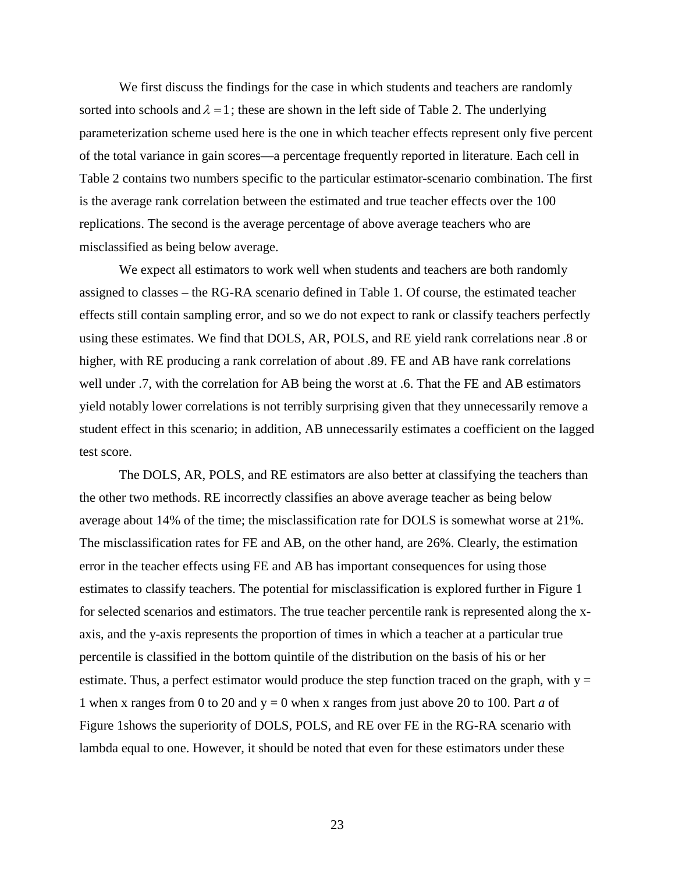We first discuss the findings for the case in which students and teachers are randomly sorted into schools and  $\lambda = 1$ ; these are shown in the left side of Table 2. The underlying parameterization scheme used here is the one in which teacher effects represent only five percent of the total variance in gain scores—a percentage frequently reported in literature. Each cell in Table 2 contains two numbers specific to the particular estimator-scenario combination. The first is the average rank correlation between the estimated and true teacher effects over the 100 replications. The second is the average percentage of above average teachers who are misclassified as being below average.

We expect all estimators to work well when students and teachers are both randomly assigned to classes – the RG-RA scenario defined in Table 1. Of course, the estimated teacher effects still contain sampling error, and so we do not expect to rank or classify teachers perfectly using these estimates. We find that DOLS, AR, POLS, and RE yield rank correlations near .8 or higher, with RE producing a rank correlation of about .89. FE and AB have rank correlations well under .7, with the correlation for AB being the worst at .6. That the FE and AB estimators yield notably lower correlations is not terribly surprising given that they unnecessarily remove a student effect in this scenario; in addition, AB unnecessarily estimates a coefficient on the lagged test score.

The DOLS, AR, POLS, and RE estimators are also better at classifying the teachers than the other two methods. RE incorrectly classifies an above average teacher as being below average about 14% of the time; the misclassification rate for DOLS is somewhat worse at 21%. The misclassification rates for FE and AB, on the other hand, are 26%. Clearly, the estimation error in the teacher effects using FE and AB has important consequences for using those estimates to classify teachers. The potential for misclassification is explored further in Figure 1 for selected scenarios and estimators. The true teacher percentile rank is represented along the xaxis, and the y-axis represents the proportion of times in which a teacher at a particular true percentile is classified in the bottom quintile of the distribution on the basis of his or her estimate. Thus, a perfect estimator would produce the step function traced on the graph, with  $y =$ 1 when x ranges from 0 to 20 and y = 0 when x ranges from just above 20 to 100. Part *a* of Figure 1shows the superiority of DOLS, POLS, and RE over FE in the RG-RA scenario with lambda equal to one. However, it should be noted that even for these estimators under these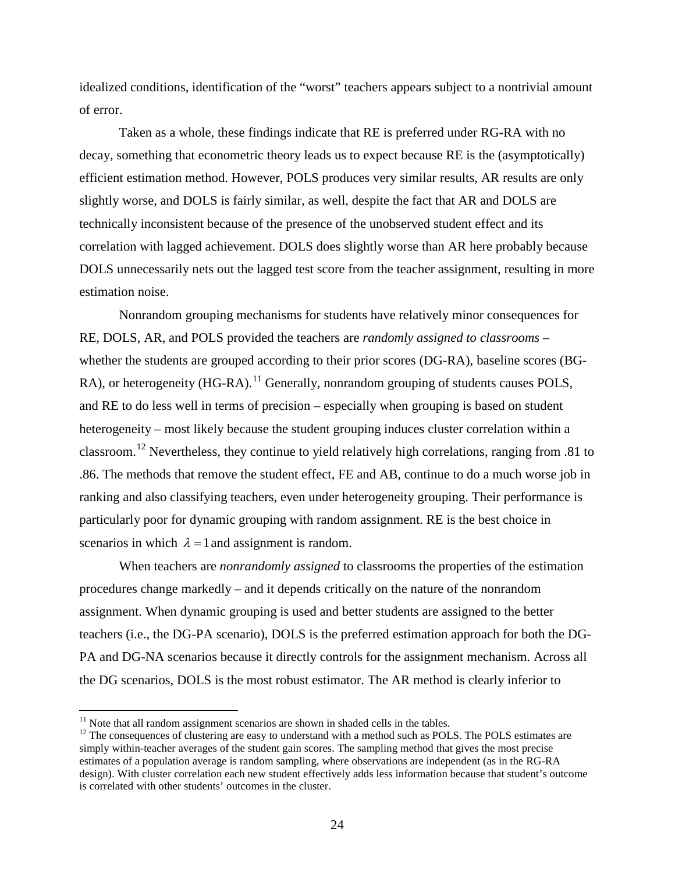idealized conditions, identification of the "worst" teachers appears subject to a nontrivial amount of error.

Taken as a whole, these findings indicate that RE is preferred under RG-RA with no decay, something that econometric theory leads us to expect because RE is the (asymptotically) efficient estimation method. However, POLS produces very similar results, AR results are only slightly worse, and DOLS is fairly similar, as well, despite the fact that AR and DOLS are technically inconsistent because of the presence of the unobserved student effect and its correlation with lagged achievement. DOLS does slightly worse than AR here probably because DOLS unnecessarily nets out the lagged test score from the teacher assignment, resulting in more estimation noise.

Nonrandom grouping mechanisms for students have relatively minor consequences for RE, DOLS, AR, and POLS provided the teachers are *randomly assigned to classrooms* – whether the students are grouped according to their prior scores (DG-RA), baseline scores (BG-RA), or heterogeneity (HG-RA).<sup>[11](#page-25-0)</sup> Generally, nonrandom grouping of students causes POLS, and RE to do less well in terms of precision – especially when grouping is based on student heterogeneity – most likely because the student grouping induces cluster correlation within a classroom.<sup>[12](#page-25-1)</sup> Nevertheless, they continue to yield relatively high correlations, ranging from .81 to scenarios in which  $\lambda = 1$  and assignment is random. .86. The methods that remove the student effect, FE and AB, continue to do a much worse job in ranking and also classifying teachers, even under heterogeneity grouping. Their performance is particularly poor for dynamic grouping with random assignment. RE is the best choice in

When teachers are *nonrandomly assigned* to classrooms the properties of the estimation procedures change markedly – and it depends critically on the nature of the nonrandom assignment. When dynamic grouping is used and better students are assigned to the better teachers (i.e., the DG-PA scenario), DOLS is the preferred estimation approach for both the DG-PA and DG-NA scenarios because it directly controls for the assignment mechanism. Across all the DG scenarios, DOLS is the most robust estimator. The AR method is clearly inferior to

<span id="page-25-1"></span>

<span id="page-25-0"></span><sup>&</sup>lt;sup>11</sup> Note that all random assignment scenarios are shown in shaded cells in the tables.<br><sup>12</sup> The consequences of clustering are easy to understand with a method such as POLS. The POLS estimates are simply within-teacher averages of the student gain scores. The sampling method that gives the most precise estimates of a population average is random sampling, where observations are independent (as in the RG-RA design). With cluster correlation each new student effectively adds less information because that student's outcome is correlated with other students' outcomes in the cluster.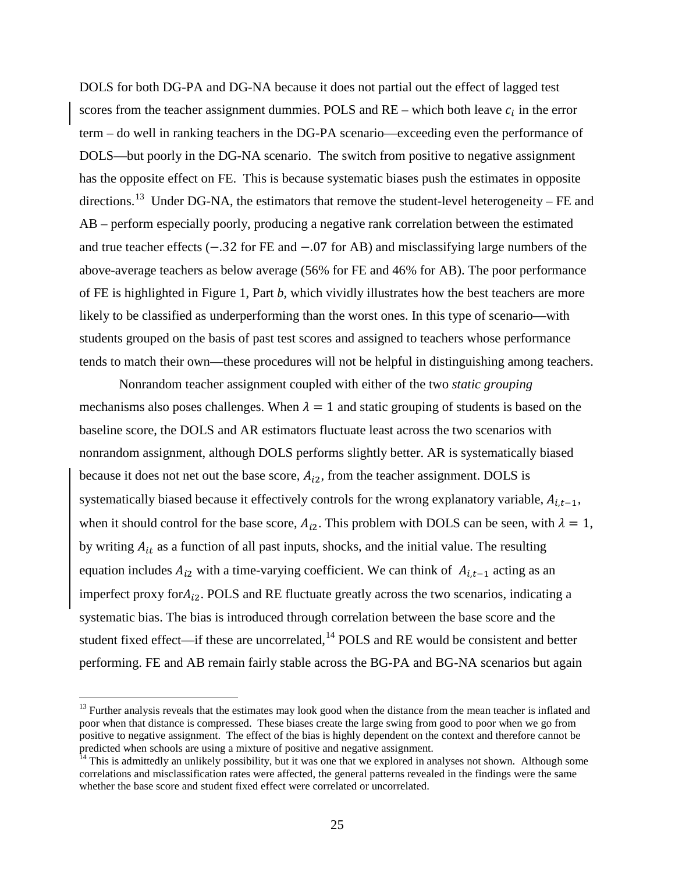DOLS for both DG-PA and DG-NA because it does not partial out the effect of lagged test scores from the teacher assignment dummies. POLS and  $RE$  – which both leave  $c_i$  in the error term – do well in ranking teachers in the DG-PA scenario—exceeding even the performance of DOLS—but poorly in the DG-NA scenario. The switch from positive to negative assignment has the opposite effect on FE. This is because systematic biases push the estimates in opposite directions.<sup>[13](#page-26-0)</sup> Under DG-NA, the estimators that remove the student-level heterogeneity – FE and AB – perform especially poorly, producing a negative rank correlation between the estimated and true teacher effects (−.32 for FE and −.07 for AB) and misclassifying large numbers of the above-average teachers as below average (56% for FE and 46% for AB). The poor performance of FE is highlighted in Figure 1, Part *b*, which vividly illustrates how the best teachers are more likely to be classified as underperforming than the worst ones. In this type of scenario—with students grouped on the basis of past test scores and assigned to teachers whose performance tends to match their own—these procedures will not be helpful in distinguishing among teachers.

Nonrandom teacher assignment coupled with either of the two *static grouping* mechanisms also poses challenges. When  $\lambda = 1$  and static grouping of students is based on the baseline score, the DOLS and AR estimators fluctuate least across the two scenarios with nonrandom assignment, although DOLS performs slightly better. AR is systematically biased because it does not net out the base score,  $A_{i2}$ , from the teacher assignment. DOLS is systematically biased because it effectively controls for the wrong explanatory variable,  $A_{i,t-1}$ , when it should control for the base score,  $A_{i2}$ . This problem with DOLS can be seen, with  $\lambda = 1$ , by writing  $A_{it}$  as a function of all past inputs, shocks, and the initial value. The resulting equation includes  $A_{i2}$  with a time-varying coefficient. We can think of  $A_{i,t-1}$  acting as an imperfect proxy for $A_{i2}$ . POLS and RE fluctuate greatly across the two scenarios, indicating a systematic bias. The bias is introduced through correlation between the base score and the student fixed effect—if these are uncorrelated, <sup>[14](#page-26-1)</sup> POLS and RE would be consistent and better performing. FE and AB remain fairly stable across the BG-PA and BG-NA scenarios but again

<span id="page-26-0"></span> $13$  Further analysis reveals that the estimates may look good when the distance from the mean teacher is inflated and poor when that distance is compressed. These biases create the large swing from good to poor when we go from positive to negative assignment. The effect of the bias is highly dependent on the context and therefore cannot be predicted when schools are using a mixture of positive and negative assignment.

<span id="page-26-1"></span><sup>&</sup>lt;sup>14</sup> This is admittedly an unlikely possibility, but it was one that we explored in analyses not shown. Although some correlations and misclassification rates were affected, the general patterns revealed in the findings were the same whether the base score and student fixed effect were correlated or uncorrelated.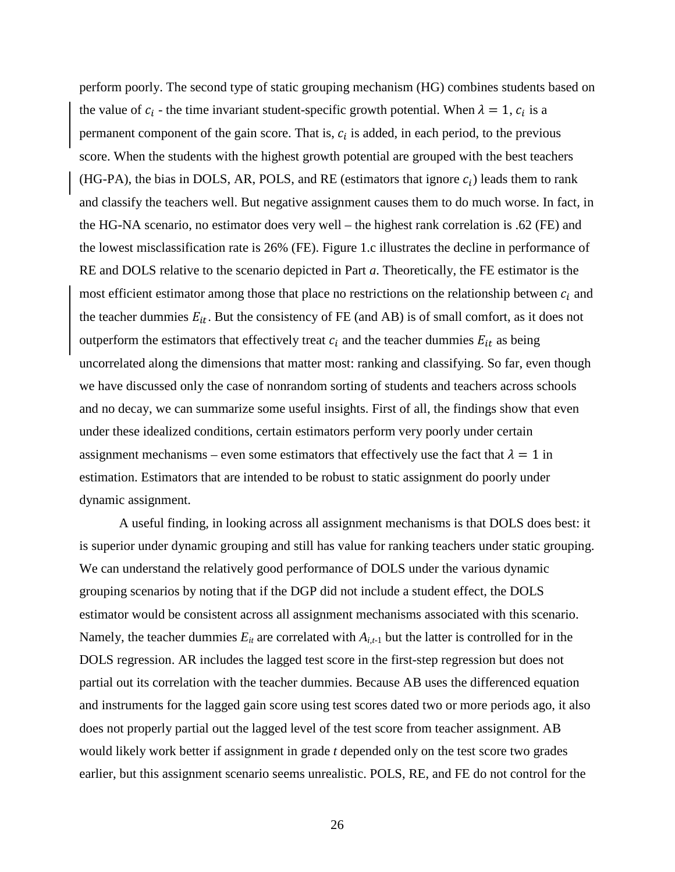perform poorly. The second type of static grouping mechanism (HG) combines students based on the value of  $c_i$  - the time invariant student-specific growth potential. When  $\lambda = 1$ ,  $c_i$  is a permanent component of the gain score. That is,  $c_i$  is added, in each period, to the previous score. When the students with the highest growth potential are grouped with the best teachers (HG-PA), the bias in DOLS, AR, POLS, and RE (estimators that ignore  $c_i$ ) leads them to rank and classify the teachers well. But negative assignment causes them to do much worse. In fact, in the HG-NA scenario, no estimator does very well – the highest rank correlation is .62 (FE) and the lowest misclassification rate is 26% (FE). Figure 1.c illustrates the decline in performance of RE and DOLS relative to the scenario depicted in Part *a*. Theoretically, the FE estimator is the most efficient estimator among those that place no restrictions on the relationship between  $c_i$  and the teacher dummies  $E_{it}$ . But the consistency of FE (and AB) is of small comfort, as it does not outperform the estimators that effectively treat  $c_i$  and the teacher dummies  $E_{it}$  as being uncorrelated along the dimensions that matter most: ranking and classifying. So far, even though we have discussed only the case of nonrandom sorting of students and teachers across schools and no decay, we can summarize some useful insights. First of all, the findings show that even under these idealized conditions, certain estimators perform very poorly under certain assignment mechanisms – even some estimators that effectively use the fact that  $\lambda = 1$  in estimation. Estimators that are intended to be robust to static assignment do poorly under dynamic assignment.

A useful finding, in looking across all assignment mechanisms is that DOLS does best: it is superior under dynamic grouping and still has value for ranking teachers under static grouping. We can understand the relatively good performance of DOLS under the various dynamic grouping scenarios by noting that if the DGP did not include a student effect, the DOLS estimator would be consistent across all assignment mechanisms associated with this scenario. Namely, the teacher dummies  $E_{it}$  are correlated with  $A_{i,t-1}$  but the latter is controlled for in the DOLS regression. AR includes the lagged test score in the first-step regression but does not partial out its correlation with the teacher dummies. Because AB uses the differenced equation and instruments for the lagged gain score using test scores dated two or more periods ago, it also does not properly partial out the lagged level of the test score from teacher assignment. AB would likely work better if assignment in grade *t* depended only on the test score two grades earlier, but this assignment scenario seems unrealistic. POLS, RE, and FE do not control for the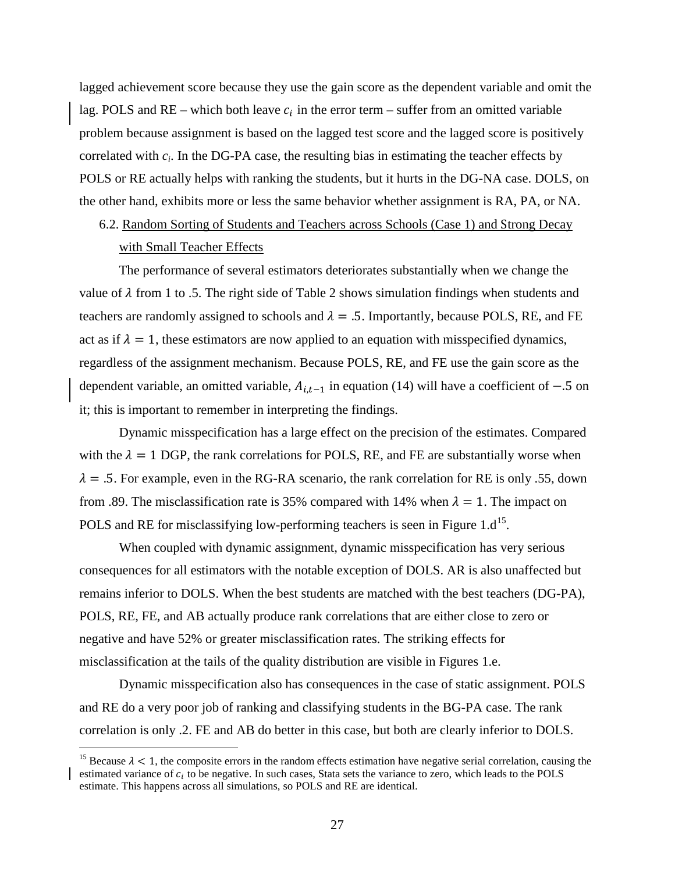lagged achievement score because they use the gain score as the dependent variable and omit the lag. POLS and RE – which both leave  $c_i$  in the error term – suffer from an omitted variable problem because assignment is based on the lagged test score and the lagged score is positively correlated with *ci*. In the DG-PA case, the resulting bias in estimating the teacher effects by POLS or RE actually helps with ranking the students, but it hurts in the DG-NA case. DOLS, on the other hand, exhibits more or less the same behavior whether assignment is RA, PA, or NA.

## 6.2. Random Sorting of Students and Teachers across Schools (Case 1) and Strong Decay with Small Teacher Effects

The performance of several estimators deteriorates substantially when we change the value of  $\lambda$  from 1 to .5. The right side of Table 2 shows simulation findings when students and teachers are randomly assigned to schools and  $\lambda = .5$ . Importantly, because POLS, RE, and FE act as if  $\lambda = 1$ , these estimators are now applied to an equation with misspecified dynamics, regardless of the assignment mechanism. Because POLS, RE, and FE use the gain score as the dependent variable, an omitted variable,  $A_{i,t-1}$  in equation (14) will have a coefficient of  $-.5$  on it; this is important to remember in interpreting the findings.

Dynamic misspecification has a large effect on the precision of the estimates. Compared with the  $\lambda = 1$  DGP, the rank correlations for POLS, RE, and FE are substantially worse when  $\lambda = 0.5$ . For example, even in the RG-RA scenario, the rank correlation for RE is only .55, down from .89. The misclassification rate is 35% compared with 14% when  $\lambda = 1$ . The impact on POLS and RE for misclassifying low-performing teachers is seen in Figure  $1.d^{15}$  $1.d^{15}$  $1.d^{15}$ .

When coupled with dynamic assignment, dynamic misspecification has very serious consequences for all estimators with the notable exception of DOLS. AR is also unaffected but remains inferior to DOLS. When the best students are matched with the best teachers (DG-PA), POLS, RE, FE, and AB actually produce rank correlations that are either close to zero or negative and have 52% or greater misclassification rates. The striking effects for misclassification at the tails of the quality distribution are visible in Figures 1.e.

Dynamic misspecification also has consequences in the case of static assignment. POLS and RE do a very poor job of ranking and classifying students in the BG-PA case. The rank correlation is only .2. FE and AB do better in this case, but both are clearly inferior to DOLS.

<span id="page-28-0"></span><sup>&</sup>lt;sup>15</sup> Because  $\lambda$  < 1, the composite errors in the random effects estimation have negative serial correlation, causing the estimated variance of  $c_i$  to be negative. In such cases, Stata sets the variance to zero, which leads to the POLS estimate. This happens across all simulations, so POLS and RE are identical.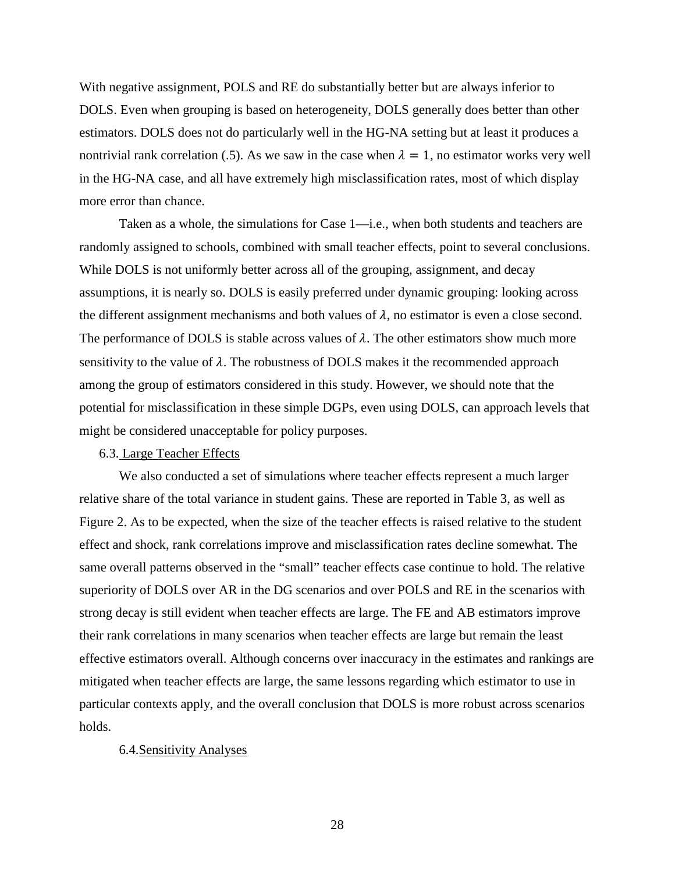With negative assignment, POLS and RE do substantially better but are always inferior to DOLS. Even when grouping is based on heterogeneity, DOLS generally does better than other estimators. DOLS does not do particularly well in the HG-NA setting but at least it produces a nontrivial rank correlation (.5). As we saw in the case when  $\lambda = 1$ , no estimator works very well in the HG-NA case, and all have extremely high misclassification rates, most of which display more error than chance.

Taken as a whole, the simulations for Case 1—i.e., when both students and teachers are randomly assigned to schools, combined with small teacher effects, point to several conclusions. While DOLS is not uniformly better across all of the grouping, assignment, and decay assumptions, it is nearly so. DOLS is easily preferred under dynamic grouping: looking across the different assignment mechanisms and both values of  $\lambda$ , no estimator is even a close second. The performance of DOLS is stable across values of  $\lambda$ . The other estimators show much more sensitivity to the value of  $\lambda$ . The robustness of DOLS makes it the recommended approach among the group of estimators considered in this study. However, we should note that the potential for misclassification in these simple DGPs, even using DOLS, can approach levels that might be considered unacceptable for policy purposes.

#### 6.3. Large Teacher Effects

We also conducted a set of simulations where teacher effects represent a much larger relative share of the total variance in student gains. These are reported in Table 3, as well as Figure 2. As to be expected, when the size of the teacher effects is raised relative to the student effect and shock, rank correlations improve and misclassification rates decline somewhat. The same overall patterns observed in the "small" teacher effects case continue to hold. The relative superiority of DOLS over AR in the DG scenarios and over POLS and RE in the scenarios with strong decay is still evident when teacher effects are large. The FE and AB estimators improve their rank correlations in many scenarios when teacher effects are large but remain the least effective estimators overall. Although concerns over inaccuracy in the estimates and rankings are mitigated when teacher effects are large, the same lessons regarding which estimator to use in particular contexts apply, and the overall conclusion that DOLS is more robust across scenarios holds.

#### 6.4.Sensitivity Analyses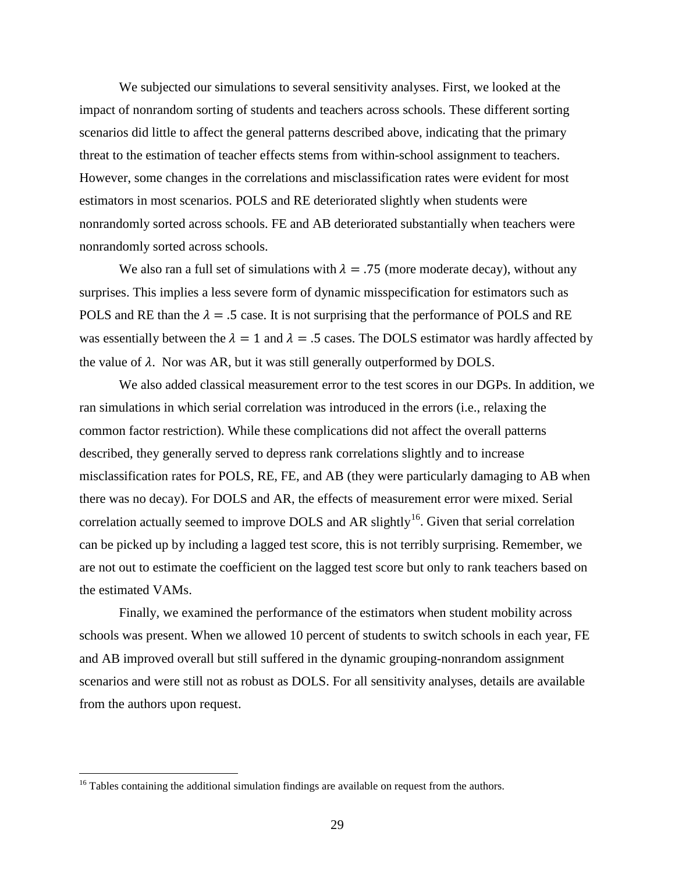We subjected our simulations to several sensitivity analyses. First, we looked at the impact of nonrandom sorting of students and teachers across schools. These different sorting scenarios did little to affect the general patterns described above, indicating that the primary threat to the estimation of teacher effects stems from within-school assignment to teachers. However, some changes in the correlations and misclassification rates were evident for most estimators in most scenarios. POLS and RE deteriorated slightly when students were nonrandomly sorted across schools. FE and AB deteriorated substantially when teachers were nonrandomly sorted across schools.

We also ran a full set of simulations with  $\lambda = .75$  (more moderate decay), without any surprises. This implies a less severe form of dynamic misspecification for estimators such as POLS and RE than the  $\lambda = 0.5$  case. It is not surprising that the performance of POLS and RE was essentially between the  $\lambda = 1$  and  $\lambda = .5$  cases. The DOLS estimator was hardly affected by the value of  $\lambda$ . Nor was AR, but it was still generally outperformed by DOLS.

We also added classical measurement error to the test scores in our DGPs. In addition, we ran simulations in which serial correlation was introduced in the errors (i.e., relaxing the common factor restriction). While these complications did not affect the overall patterns described, they generally served to depress rank correlations slightly and to increase misclassification rates for POLS, RE, FE, and AB (they were particularly damaging to AB when there was no decay). For DOLS and AR, the effects of measurement error were mixed. Serial correlation actually seemed to improve DOLS and AR slightly<sup>[16](#page-30-0)</sup>. Given that serial correlation can be picked up by including a lagged test score, this is not terribly surprising. Remember, we are not out to estimate the coefficient on the lagged test score but only to rank teachers based on the estimated VAMs.

Finally, we examined the performance of the estimators when student mobility across schools was present. When we allowed 10 percent of students to switch schools in each year, FE and AB improved overall but still suffered in the dynamic grouping-nonrandom assignment scenarios and were still not as robust as DOLS. For all sensitivity analyses, details are available from the authors upon request.

<span id="page-30-0"></span><sup>&</sup>lt;sup>16</sup> Tables containing the additional simulation findings are available on request from the authors.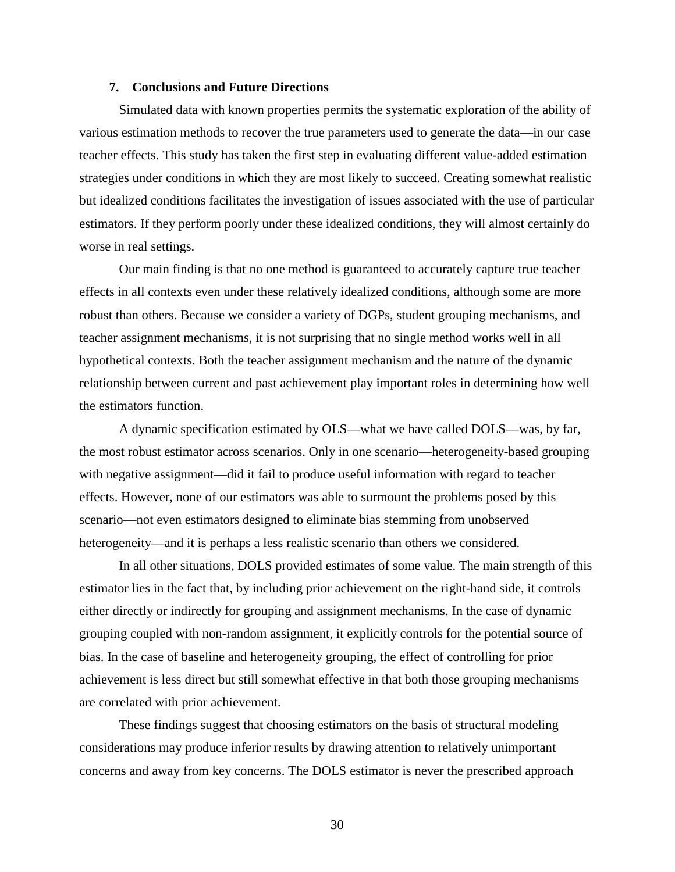#### **7. Conclusions and Future Directions**

Simulated data with known properties permits the systematic exploration of the ability of various estimation methods to recover the true parameters used to generate the data—in our case teacher effects. This study has taken the first step in evaluating different value-added estimation strategies under conditions in which they are most likely to succeed. Creating somewhat realistic but idealized conditions facilitates the investigation of issues associated with the use of particular estimators. If they perform poorly under these idealized conditions, they will almost certainly do worse in real settings.

Our main finding is that no one method is guaranteed to accurately capture true teacher effects in all contexts even under these relatively idealized conditions, although some are more robust than others. Because we consider a variety of DGPs, student grouping mechanisms, and teacher assignment mechanisms, it is not surprising that no single method works well in all hypothetical contexts. Both the teacher assignment mechanism and the nature of the dynamic relationship between current and past achievement play important roles in determining how well the estimators function.

A dynamic specification estimated by OLS—what we have called DOLS—was, by far, the most robust estimator across scenarios. Only in one scenario—heterogeneity-based grouping with negative assignment—did it fail to produce useful information with regard to teacher effects. However, none of our estimators was able to surmount the problems posed by this scenario—not even estimators designed to eliminate bias stemming from unobserved heterogeneity—and it is perhaps a less realistic scenario than others we considered.

In all other situations, DOLS provided estimates of some value. The main strength of this estimator lies in the fact that, by including prior achievement on the right-hand side, it controls either directly or indirectly for grouping and assignment mechanisms. In the case of dynamic grouping coupled with non-random assignment, it explicitly controls for the potential source of bias. In the case of baseline and heterogeneity grouping, the effect of controlling for prior achievement is less direct but still somewhat effective in that both those grouping mechanisms are correlated with prior achievement.

These findings suggest that choosing estimators on the basis of structural modeling considerations may produce inferior results by drawing attention to relatively unimportant concerns and away from key concerns. The DOLS estimator is never the prescribed approach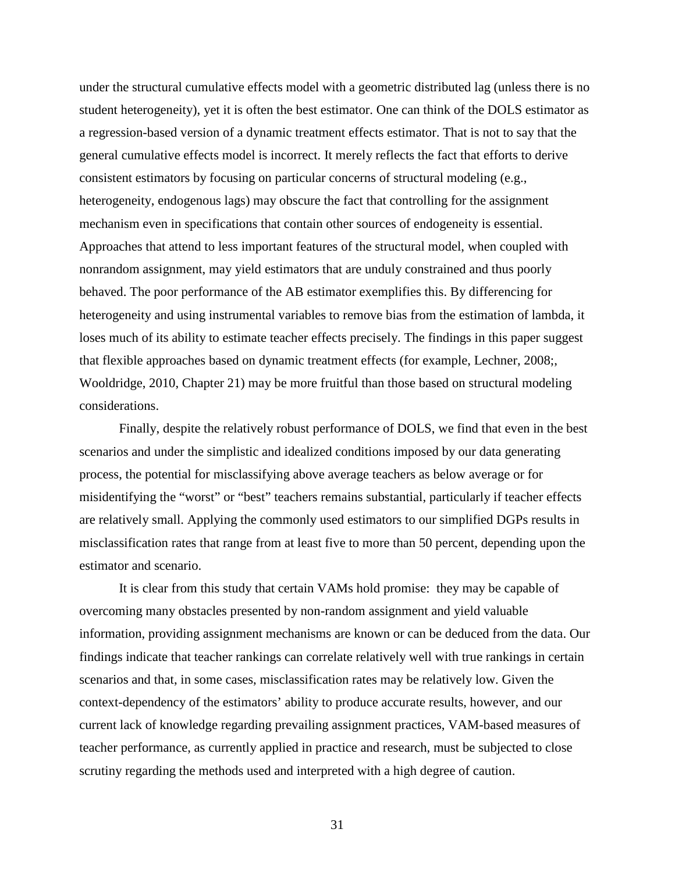under the structural cumulative effects model with a geometric distributed lag (unless there is no student heterogeneity), yet it is often the best estimator. One can think of the DOLS estimator as a regression-based version of a dynamic treatment effects estimator. That is not to say that the general cumulative effects model is incorrect. It merely reflects the fact that efforts to derive consistent estimators by focusing on particular concerns of structural modeling (e.g., heterogeneity, endogenous lags) may obscure the fact that controlling for the assignment mechanism even in specifications that contain other sources of endogeneity is essential. Approaches that attend to less important features of the structural model, when coupled with nonrandom assignment, may yield estimators that are unduly constrained and thus poorly behaved. The poor performance of the AB estimator exemplifies this. By differencing for heterogeneity and using instrumental variables to remove bias from the estimation of lambda, it loses much of its ability to estimate teacher effects precisely. The findings in this paper suggest that flexible approaches based on dynamic treatment effects (for example, Lechner, 2008;, Wooldridge, 2010, Chapter 21) may be more fruitful than those based on structural modeling considerations.

Finally, despite the relatively robust performance of DOLS, we find that even in the best scenarios and under the simplistic and idealized conditions imposed by our data generating process, the potential for misclassifying above average teachers as below average or for misidentifying the "worst" or "best" teachers remains substantial, particularly if teacher effects are relatively small. Applying the commonly used estimators to our simplified DGPs results in misclassification rates that range from at least five to more than 50 percent, depending upon the estimator and scenario.

It is clear from this study that certain VAMs hold promise: they may be capable of overcoming many obstacles presented by non-random assignment and yield valuable information, providing assignment mechanisms are known or can be deduced from the data. Our findings indicate that teacher rankings can correlate relatively well with true rankings in certain scenarios and that, in some cases, misclassification rates may be relatively low. Given the context-dependency of the estimators' ability to produce accurate results, however, and our current lack of knowledge regarding prevailing assignment practices, VAM-based measures of teacher performance, as currently applied in practice and research, must be subjected to close scrutiny regarding the methods used and interpreted with a high degree of caution.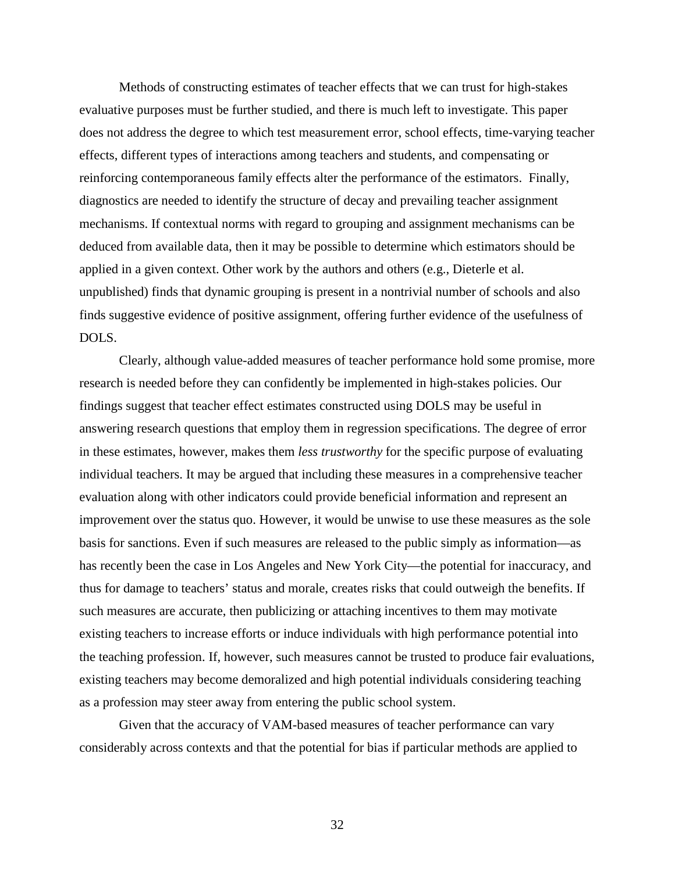Methods of constructing estimates of teacher effects that we can trust for high-stakes evaluative purposes must be further studied, and there is much left to investigate. This paper does not address the degree to which test measurement error, school effects, time-varying teacher effects, different types of interactions among teachers and students, and compensating or reinforcing contemporaneous family effects alter the performance of the estimators. Finally, diagnostics are needed to identify the structure of decay and prevailing teacher assignment mechanisms. If contextual norms with regard to grouping and assignment mechanisms can be deduced from available data, then it may be possible to determine which estimators should be applied in a given context. Other work by the authors and others (e.g., Dieterle et al. unpublished) finds that dynamic grouping is present in a nontrivial number of schools and also finds suggestive evidence of positive assignment, offering further evidence of the usefulness of DOLS.

Clearly, although value-added measures of teacher performance hold some promise, more research is needed before they can confidently be implemented in high-stakes policies. Our findings suggest that teacher effect estimates constructed using DOLS may be useful in answering research questions that employ them in regression specifications. The degree of error in these estimates, however, makes them *less trustworthy* for the specific purpose of evaluating individual teachers. It may be argued that including these measures in a comprehensive teacher evaluation along with other indicators could provide beneficial information and represent an improvement over the status quo. However, it would be unwise to use these measures as the sole basis for sanctions. Even if such measures are released to the public simply as information—as has recently been the case in Los Angeles and New York City—the potential for inaccuracy, and thus for damage to teachers' status and morale, creates risks that could outweigh the benefits. If such measures are accurate, then publicizing or attaching incentives to them may motivate existing teachers to increase efforts or induce individuals with high performance potential into the teaching profession. If, however, such measures cannot be trusted to produce fair evaluations, existing teachers may become demoralized and high potential individuals considering teaching as a profession may steer away from entering the public school system.

Given that the accuracy of VAM-based measures of teacher performance can vary considerably across contexts and that the potential for bias if particular methods are applied to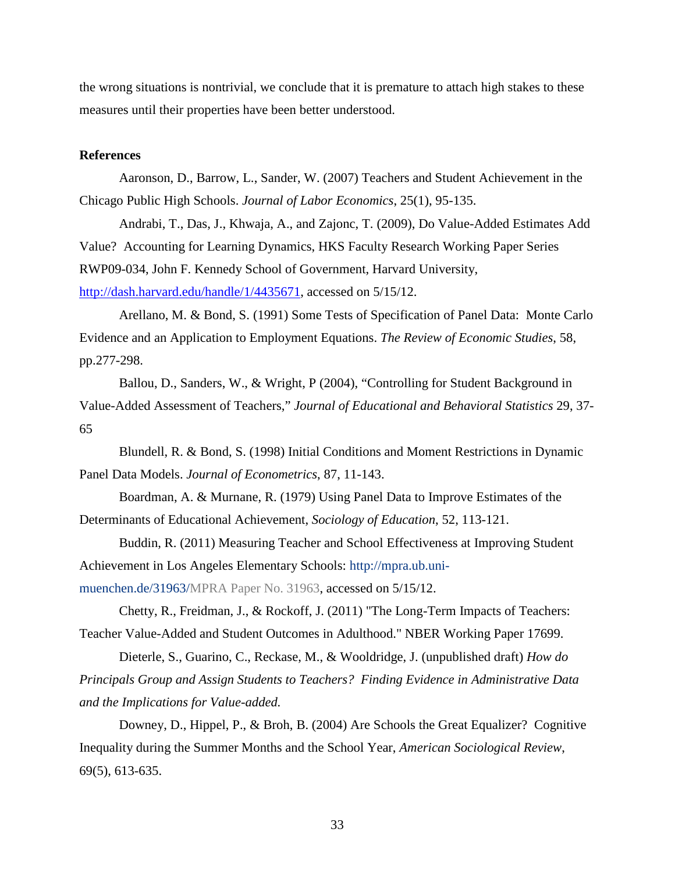the wrong situations is nontrivial, we conclude that it is premature to attach high stakes to these measures until their properties have been better understood.

#### **References**

Aaronson, D., Barrow, L., Sander, W. (2007) Teachers and Student Achievement in the Chicago Public High Schools. *Journal of Labor Economics*, 25(1), 95-135.

Andrabi, T., Das, J., Khwaja, A., and Zajonc, T. (2009), Do Value-Added Estimates Add Value? Accounting for Learning Dynamics, HKS Faculty Research Working Paper Series RWP09-034, John F. Kennedy School of Government, Harvard University, [http://dash.harvard.edu/handle/1/4435671,](http://dash.harvard.edu/handle/1/4435671) accessed on 5/15/12.

Arellano, M. & Bond, S. (1991) Some Tests of Specification of Panel Data: Monte Carlo Evidence and an Application to Employment Equations. *The Review of Economic Studies*, 58, pp.277-298.

Ballou, D., Sanders, W., & Wright, P (2004), "Controlling for Student Background in Value-Added Assessment of Teachers," *Journal of Educational and Behavioral Statistics* 29, 37- 65

Blundell, R. & Bond, S. (1998) Initial Conditions and Moment Restrictions in Dynamic Panel Data Models. *Journal of Econometrics*, 87, 11-143.

Boardman, A. & Murnane, R. (1979) Using Panel Data to Improve Estimates of the Determinants of Educational Achievement, *Sociology of Education*, 52, 113-121.

Buddin, R. (2011) Measuring Teacher and School Effectiveness at Improving Student Achievement in Los Angeles Elementary Schools: http://mpra.ub.unimuenchen.de/31963/MPRA Paper No. 31963, accessed on 5/15/12.

Chetty, R., Freidman, J., & Rockoff, J. (2011) "The Long-Term Impacts of Teachers: Teacher Value-Added and Student Outcomes in Adulthood." NBER Working Paper 17699.

Dieterle, S., Guarino, C., Reckase, M., & Wooldridge, J. (unpublished draft) *How do Principals Group and Assign Students to Teachers? Finding Evidence in Administrative Data and the Implications for Value-added.*

Downey, D., Hippel, P., & Broh, B. (2004) Are Schools the Great Equalizer? Cognitive Inequality during the Summer Months and the School Year, *American Sociological Review*, 69(5), 613-635.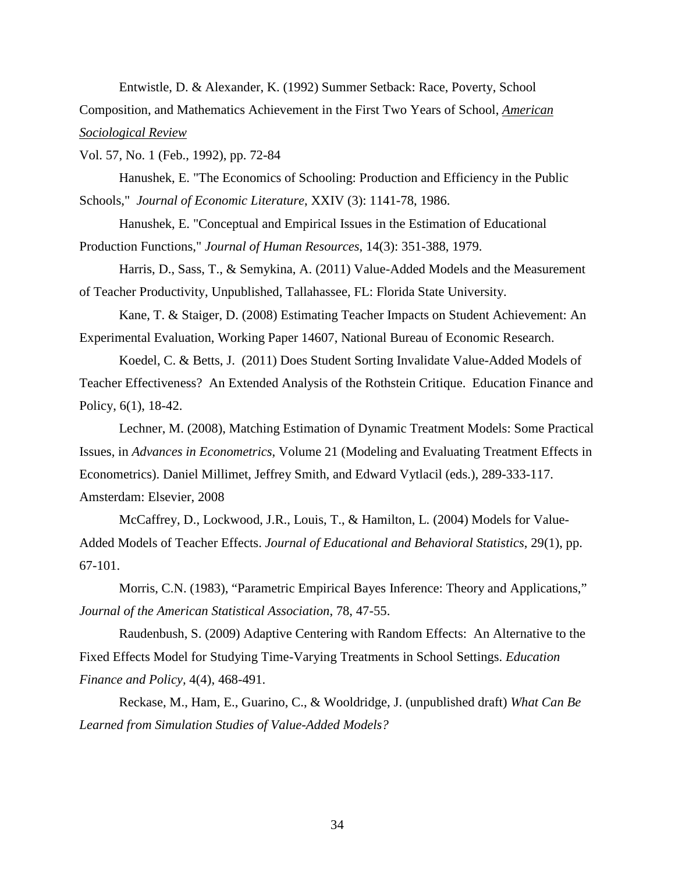Entwistle, D. & Alexander, K. (1992) Summer Setback: Race, Poverty, School Composition, and Mathematics Achievement in the First Two Years of School, *[American](http://www.jstor.org/action/showPublication?journalCode=amersocirevi)  [Sociological Review](http://www.jstor.org/action/showPublication?journalCode=amersocirevi)*

Vol. 57, No. 1 (Feb., 1992), pp. 72-84

Hanushek, E. "The Economics of Schooling: Production and Efficiency in the Public Schools," *Journal of Economic Literature*, XXIV (3): 1141-78, 1986.

Hanushek, E. "Conceptual and Empirical Issues in the Estimation of Educational Production Functions," *Journal of Human Resources*, 14(3): 351-388, 1979.

Harris, D., Sass, T., & Semykina, A. (2011) Value-Added Models and the Measurement of Teacher Productivity, Unpublished, Tallahassee, FL: Florida State University.

Kane, T. & Staiger, D. (2008) Estimating Teacher Impacts on Student Achievement: An Experimental Evaluation, Working Paper 14607, National Bureau of Economic Research.

Koedel, C. & Betts, J. (2011) Does Student Sorting Invalidate Value-Added Models of Teacher Effectiveness? An Extended Analysis of the Rothstein Critique. Education Finance and Policy, 6(1), 18-42.

Lechner, M. (2008), Matching Estimation of Dynamic Treatment Models: Some Practical Issues, in *Advances in Econometrics*, Volume 21 (Modeling and Evaluating Treatment Effects in Econometrics). Daniel Millimet, Jeffrey Smith, and Edward Vytlacil (eds.), 289-333-117. Amsterdam: Elsevier, 2008

McCaffrey, D., Lockwood, J.R., Louis, T., & Hamilton, L. (2004) Models for Value-Added Models of Teacher Effects. *Journal of Educational and Behavioral Statistics*, 29(1), pp. 67-101.

Morris, C.N. (1983), "Parametric Empirical Bayes Inference: Theory and Applications," *Journal of the American Statistical Association*, 78, 47-55.

Raudenbush, S. (2009) Adaptive Centering with Random Effects: An Alternative to the Fixed Effects Model for Studying Time-Varying Treatments in School Settings. *Education Finance and Policy,* 4(4), 468-491.

Reckase, M., Ham, E., Guarino, C., & Wooldridge, J. (unpublished draft) *What Can Be Learned from Simulation Studies of Value-Added Models?*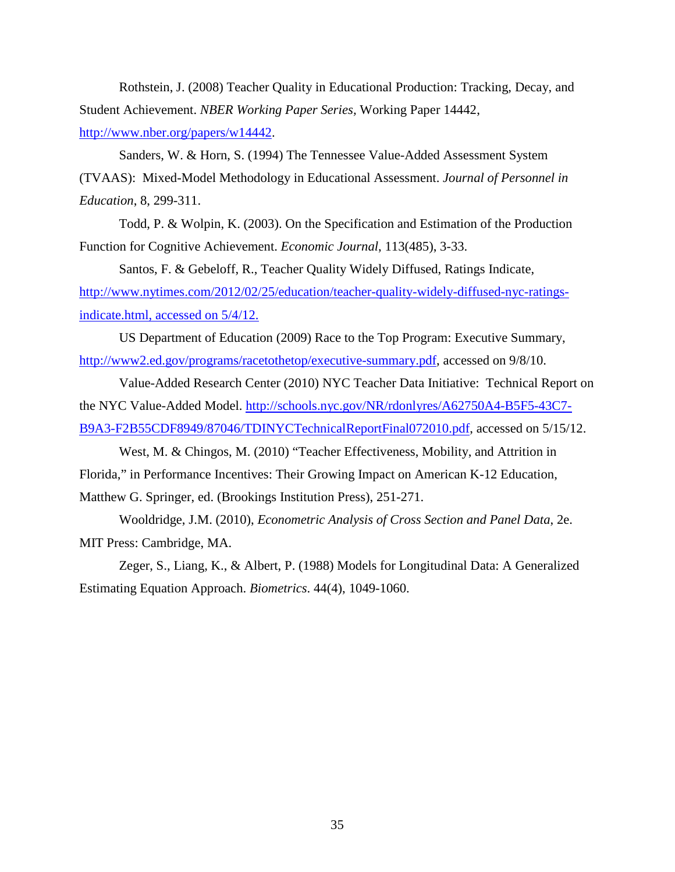Rothstein, J. (2008) Teacher Quality in Educational Production: Tracking, Decay, and Student Achievement. *NBER Working Paper Series,* Working Paper 14442, [http://www.nber.org/papers/w14442.](http://www.nber.org/papers/w14442)

Sanders, W. & Horn, S. (1994) The Tennessee Value-Added Assessment System (TVAAS): Mixed-Model Methodology in Educational Assessment. *Journal of Personnel in Education*, 8, 299-311.

Todd, P. & Wolpin, K. (2003). On the Specification and Estimation of the Production Function for Cognitive Achievement. *Economic Journal*, 113(485), 3-33.

Santos, F. & Gebeloff, R., Teacher Quality Widely Diffused, Ratings Indicate, [http://www.nytimes.com/2012/02/25/education/teacher-quality-widely-diffused-nyc-ratings](http://www.nytimes.com/2012/02/25/education/teacher-quality-widely-diffused-nyc-ratings-indicate.html)[indicate.html,](http://www.nytimes.com/2012/02/25/education/teacher-quality-widely-diffused-nyc-ratings-indicate.html) accessed on 5/4/12.

US Department of Education (2009) Race to the Top Program: Executive Summary, [http://www2.ed.gov/programs/racetothetop/executive-summary.pdf,](http://www2.ed.gov/programs/racetothetop/executive-summary.pdf) accessed on 9/8/10.

Value-Added Research Center (2010) NYC Teacher Data Initiative: Technical Report on the NYC Value-Added Model. [http://schools.nyc.gov/NR/rdonlyres/A62750A4-B5F5-43C7-](http://schools.nyc.gov/NR/rdonlyres/A62750A4-B5F5-43C7-B9A3-F2B55CDF8949/87046/TDINYCTechnicalReportFinal072010.pdf) [B9A3-F2B55CDF8949/87046/TDINYCTechnicalReportFinal072010.pdf,](http://schools.nyc.gov/NR/rdonlyres/A62750A4-B5F5-43C7-B9A3-F2B55CDF8949/87046/TDINYCTechnicalReportFinal072010.pdf) accessed on 5/15/12.

West, M. & Chingos, M. (2010) "Teacher Effectiveness, Mobility, and Attrition in Florida," in Performance Incentives: Their Growing Impact on American K-12 Education, Matthew G. Springer, ed. (Brookings Institution Press), 251-271.

Wooldridge, J.M. (2010), *Econometric Analysis of Cross Section and Panel Data*, 2e. MIT Press: Cambridge, MA.

Zeger, S., Liang, K., & Albert, P. (1988) Models for Longitudinal Data: A Generalized Estimating Equation Approach. *Biometrics*. 44(4), 1049-1060.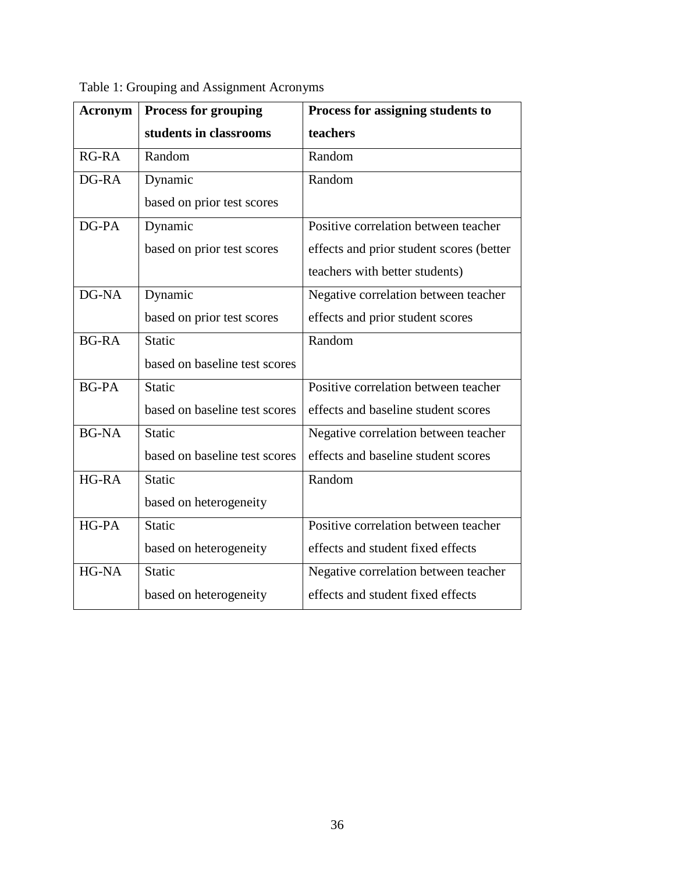| Acronym      | <b>Process for grouping</b>   | Process for assigning students to        |  |  |  |  |  |
|--------------|-------------------------------|------------------------------------------|--|--|--|--|--|
|              | students in classrooms        | teachers                                 |  |  |  |  |  |
| $RG-RA$      | Random                        | Random                                   |  |  |  |  |  |
| DG-RA        | Dynamic                       | Random                                   |  |  |  |  |  |
|              | based on prior test scores    |                                          |  |  |  |  |  |
| DG-PA        | Dynamic                       | Positive correlation between teacher     |  |  |  |  |  |
|              | based on prior test scores    | effects and prior student scores (better |  |  |  |  |  |
|              |                               | teachers with better students)           |  |  |  |  |  |
| DG-NA        | Dynamic                       | Negative correlation between teacher     |  |  |  |  |  |
|              | based on prior test scores    | effects and prior student scores         |  |  |  |  |  |
| <b>BG-RA</b> | <b>Static</b>                 | Random                                   |  |  |  |  |  |
|              | based on baseline test scores |                                          |  |  |  |  |  |
| <b>BG-PA</b> | <b>Static</b>                 | Positive correlation between teacher     |  |  |  |  |  |
|              | based on baseline test scores | effects and baseline student scores      |  |  |  |  |  |
| <b>BG-NA</b> | <b>Static</b>                 | Negative correlation between teacher     |  |  |  |  |  |
|              | based on baseline test scores | effects and baseline student scores      |  |  |  |  |  |
| HG-RA        | <b>Static</b>                 | Random                                   |  |  |  |  |  |
|              | based on heterogeneity        |                                          |  |  |  |  |  |
| HG-PA        | <b>Static</b>                 | Positive correlation between teacher     |  |  |  |  |  |
|              | based on heterogeneity        | effects and student fixed effects        |  |  |  |  |  |
| HG-NA        | <b>Static</b>                 | Negative correlation between teacher     |  |  |  |  |  |
|              | based on heterogeneity        | effects and student fixed effects        |  |  |  |  |  |

Table 1: Grouping and Assignment Acronyms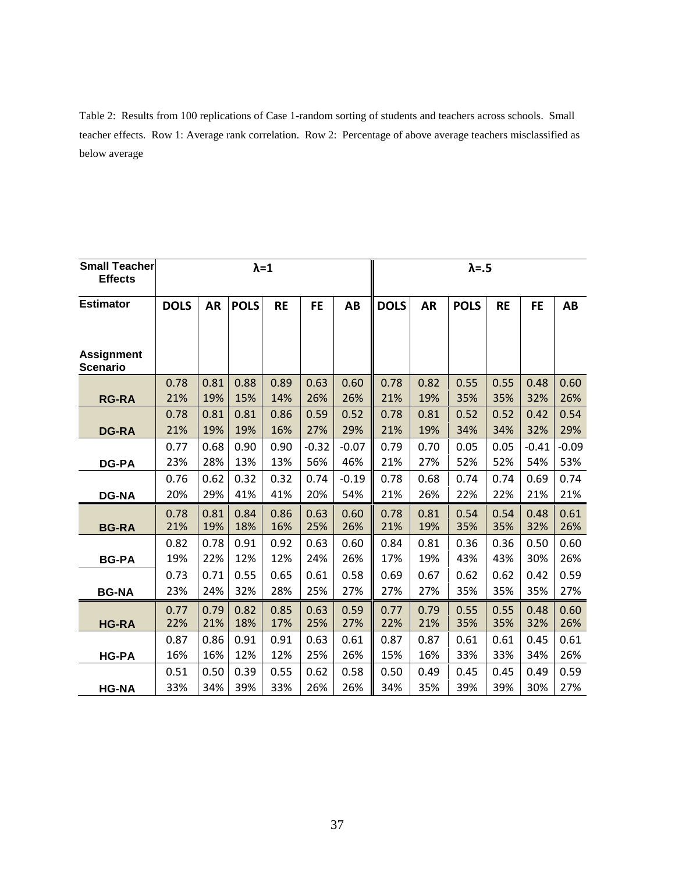Table 2: Results from 100 replications of Case 1-random sorting of students and teachers across schools. Small teacher effects. Row 1: Average rank correlation. Row 2: Percentage of above average teachers misclassified as below average

| <b>Small Teacher</b><br><b>Effects</b> | $\lambda = 1$ |           |             |           |           |         | $\lambda = .5$ |           |             |           |           |         |
|----------------------------------------|---------------|-----------|-------------|-----------|-----------|---------|----------------|-----------|-------------|-----------|-----------|---------|
| <b>Estimator</b>                       | <b>DOLS</b>   | <b>AR</b> | <b>POLS</b> | <b>RE</b> | <b>FE</b> | AB      | <b>DOLS</b>    | <b>AR</b> | <b>POLS</b> | <b>RE</b> | <b>FE</b> | AB      |
|                                        |               |           |             |           |           |         |                |           |             |           |           |         |
| <b>Assignment</b><br><b>Scenario</b>   |               |           |             |           |           |         |                |           |             |           |           |         |
|                                        | 0.78          | 0.81      | 0.88        | 0.89      | 0.63      | 0.60    | 0.78           | 0.82      | 0.55        | 0.55      | 0.48      | 0.60    |
| <b>RG-RA</b>                           | 21%           | 19%       | 15%         | 14%       | 26%       | 26%     | 21%            | 19%       | 35%         | 35%       | 32%       | 26%     |
|                                        | 0.78          | 0.81      | 0.81        | 0.86      | 0.59      | 0.52    | 0.78           | 0.81      | 0.52        | 0.52      | 0.42      | 0.54    |
| <b>DG-RA</b>                           | 21%           | 19%       | 19%         | 16%       | 27%       | 29%     | 21%            | 19%       | 34%         | 34%       | 32%       | 29%     |
|                                        | 0.77          | 0.68      | 0.90        | 0.90      | $-0.32$   | $-0.07$ | 0.79           | 0.70      | 0.05        | 0.05      | $-0.41$   | $-0.09$ |
| <b>DG-PA</b>                           | 23%           | 28%       | 13%         | 13%       | 56%       | 46%     | 21%            | 27%       | 52%         | 52%       | 54%       | 53%     |
|                                        | 0.76          | 0.62      | 0.32        | 0.32      | 0.74      | $-0.19$ | 0.78           | 0.68      | 0.74        | 0.74      | 0.69      | 0.74    |
| <b>DG-NA</b>                           | 20%           | 29%       | 41%         | 41%       | 20%       | 54%     | 21%            | 26%       | 22%         | 22%       | 21%       | 21%     |
|                                        | 0.78          | 0.81      | 0.84        | 0.86      | 0.63      | 0.60    | 0.78           | 0.81      | 0.54        | 0.54      | 0.48      | 0.61    |
| <b>BG-RA</b>                           | 21%           | 19%       | 18%         | 16%       | 25%       | 26%     | 21%            | 19%       | 35%         | 35%       | 32%       | 26%     |
|                                        | 0.82          | 0.78      | 0.91        | 0.92      | 0.63      | 0.60    | 0.84           | 0.81      | 0.36        | 0.36      | 0.50      | 0.60    |
| <b>BG-PA</b>                           | 19%           | 22%       | 12%         | 12%       | 24%       | 26%     | 17%            | 19%       | 43%         | 43%       | 30%       | 26%     |
|                                        | 0.73          | 0.71      | 0.55        | 0.65      | 0.61      | 0.58    | 0.69           | 0.67      | 0.62        | 0.62      | 0.42      | 0.59    |
| <b>BG-NA</b>                           | 23%           | 24%       | 32%         | 28%       | 25%       | 27%     | 27%            | 27%       | 35%         | 35%       | 35%       | 27%     |
|                                        | 0.77          | 0.79      | 0.82        | 0.85      | 0.63      | 0.59    | 0.77           | 0.79      | 0.55        | 0.55      | 0.48      | 0.60    |
| <b>HG-RA</b>                           | 22%           | 21%       | 18%         | 17%       | 25%       | 27%     | 22%            | 21%       | 35%         | 35%       | 32%       | 26%     |
|                                        | 0.87          | 0.86      | 0.91        | 0.91      | 0.63      | 0.61    | 0.87           | 0.87      | 0.61        | 0.61      | 0.45      | 0.61    |
| <b>HG-PA</b>                           | 16%           | 16%       | 12%         | 12%       | 25%       | 26%     | 15%            | 16%       | 33%         | 33%       | 34%       | 26%     |
|                                        | 0.51          | 0.50      | 0.39        | 0.55      | 0.62      | 0.58    | 0.50           | 0.49      | 0.45        | 0.45      | 0.49      | 0.59    |
| <b>HG-NA</b>                           | 33%           | 34%       | 39%         | 33%       | 26%       | 26%     | 34%            | 35%       | 39%         | 39%       | 30%       | 27%     |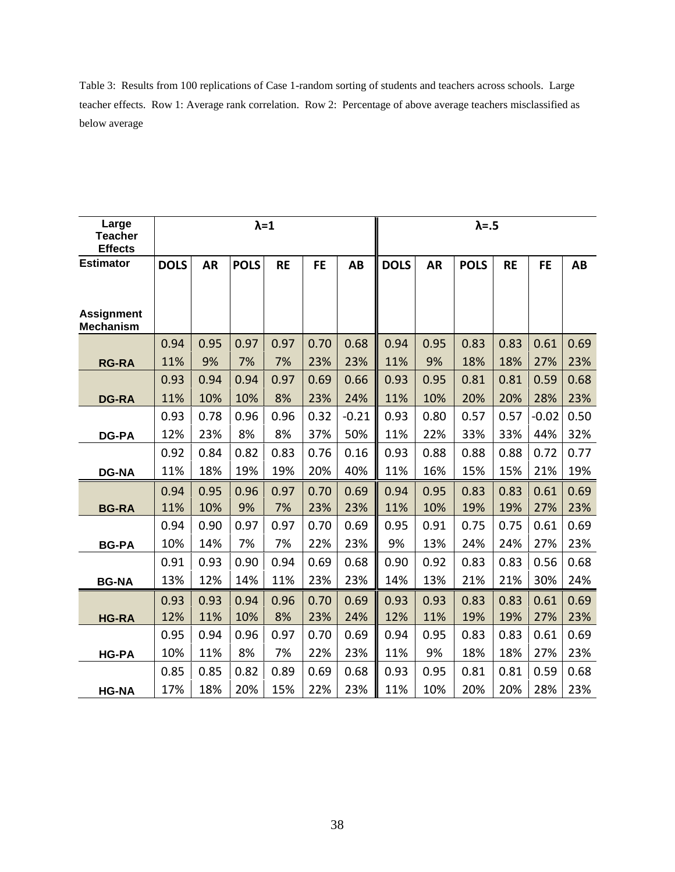Table 3: Results from 100 replications of Case 1-random sorting of students and teachers across schools. Large teacher effects. Row 1: Average rank correlation. Row 2: Percentage of above average teachers misclassified as below average

| Large<br><b>Teacher</b><br><b>Effects</b> | $\lambda = 1$ |           |             |           |           |           | $\lambda = .5$ |           |             |           |           |           |
|-------------------------------------------|---------------|-----------|-------------|-----------|-----------|-----------|----------------|-----------|-------------|-----------|-----------|-----------|
| <b>Estimator</b>                          | <b>DOLS</b>   | <b>AR</b> | <b>POLS</b> | <b>RE</b> | <b>FE</b> | <b>AB</b> | <b>DOLS</b>    | <b>AR</b> | <b>POLS</b> | <b>RE</b> | <b>FE</b> | <b>AB</b> |
|                                           |               |           |             |           |           |           |                |           |             |           |           |           |
| <b>Assignment</b><br><b>Mechanism</b>     |               |           |             |           |           |           |                |           |             |           |           |           |
|                                           | 0.94          | 0.95      | 0.97        | 0.97      | 0.70      | 0.68      | 0.94           | 0.95      | 0.83        | 0.83      | 0.61      | 0.69      |
| <b>RG-RA</b>                              | 11%           | 9%        | 7%          | 7%        | 23%       | 23%       | 11%            | 9%        | 18%         | 18%       | 27%       | 23%       |
|                                           | 0.93          | 0.94      | 0.94        | 0.97      | 0.69      | 0.66      | 0.93           | 0.95      | 0.81        | 0.81      | 0.59      | 0.68      |
| <b>DG-RA</b>                              | 11%           | 10%       | 10%         | 8%        | 23%       | 24%       | 11%            | 10%       | 20%         | 20%       | 28%       | 23%       |
|                                           | 0.93          | 0.78      | 0.96        | 0.96      | 0.32      | $-0.21$   | 0.93           | 0.80      | 0.57        | 0.57      | $-0.02$   | 0.50      |
| <b>DG-PA</b>                              | 12%           | 23%       | 8%          | 8%        | 37%       | 50%       | 11%            | 22%       | 33%         | 33%       | 44%       | 32%       |
|                                           | 0.92          | 0.84      | 0.82        | 0.83      | 0.76      | 0.16      | 0.93           | 0.88      | 0.88        | 0.88      | 0.72      | 0.77      |
| <b>DG-NA</b>                              | 11%           | 18%       | 19%         | 19%       | 20%       | 40%       | 11%            | 16%       | 15%         | 15%       | 21%       | 19%       |
|                                           | 0.94          | 0.95      | 0.96        | 0.97      | 0.70      | 0.69      | 0.94           | 0.95      | 0.83        | 0.83      | 0.61      | 0.69      |
| <b>BG-RA</b>                              | 11%           | 10%       | 9%          | 7%        | 23%       | 23%       | 11%            | 10%       | 19%         | 19%       | 27%       | 23%       |
|                                           | 0.94          | 0.90      | 0.97        | 0.97      | 0.70      | 0.69      | 0.95           | 0.91      | 0.75        | 0.75      | 0.61      | 0.69      |
| <b>BG-PA</b>                              | 10%           | 14%       | 7%          | 7%        | 22%       | 23%       | 9%             | 13%       | 24%         | 24%       | 27%       | 23%       |
|                                           | 0.91          | 0.93      | 0.90        | 0.94      | 0.69      | 0.68      | 0.90           | 0.92      | 0.83        | 0.83      | 0.56      | 0.68      |
| <b>BG-NA</b>                              | 13%           | 12%       | 14%         | 11%       | 23%       | 23%       | 14%            | 13%       | 21%         | 21%       | 30%       | 24%       |
|                                           | 0.93          | 0.93      | 0.94        | 0.96      | 0.70      | 0.69      | 0.93           | 0.93      | 0.83        | 0.83      | 0.61      | 0.69      |
| <b>HG-RA</b>                              | 12%           | 11%       | 10%         | 8%        | 23%       | 24%       | 12%            | 11%       | 19%         | 19%       | 27%       | 23%       |
|                                           | 0.95          | 0.94      | 0.96        | 0.97      | 0.70      | 0.69      | 0.94           | 0.95      | 0.83        | 0.83      | 0.61      | 0.69      |
| <b>HG-PA</b>                              | 10%           | 11%       | 8%          | 7%        | 22%       | 23%       | 11%            | 9%        | 18%         | 18%       | 27%       | 23%       |
|                                           | 0.85          | 0.85      | 0.82        | 0.89      | 0.69      | 0.68      | 0.93           | 0.95      | 0.81        | 0.81      | 0.59      | 0.68      |
| <b>HG-NA</b>                              | 17%           | 18%       | 20%         | 15%       | 22%       | 23%       | 11%            | 10%       | 20%         | 20%       | 28%       | 23%       |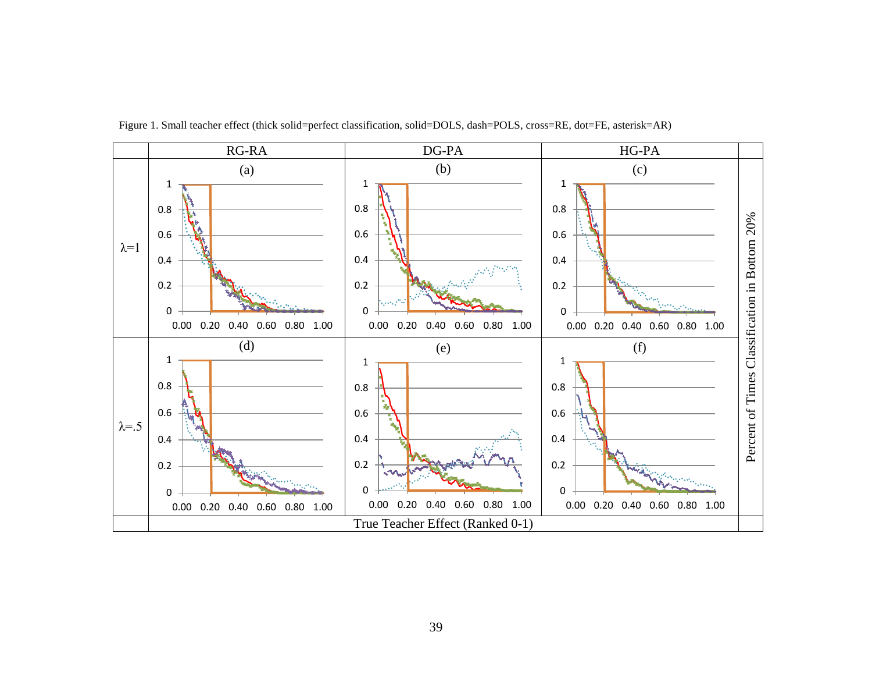

Figure 1. Small teacher effect (thick solid=perfect classification, solid=DOLS, dash=POLS, cross=RE, dot=FE, asterisk=AR)